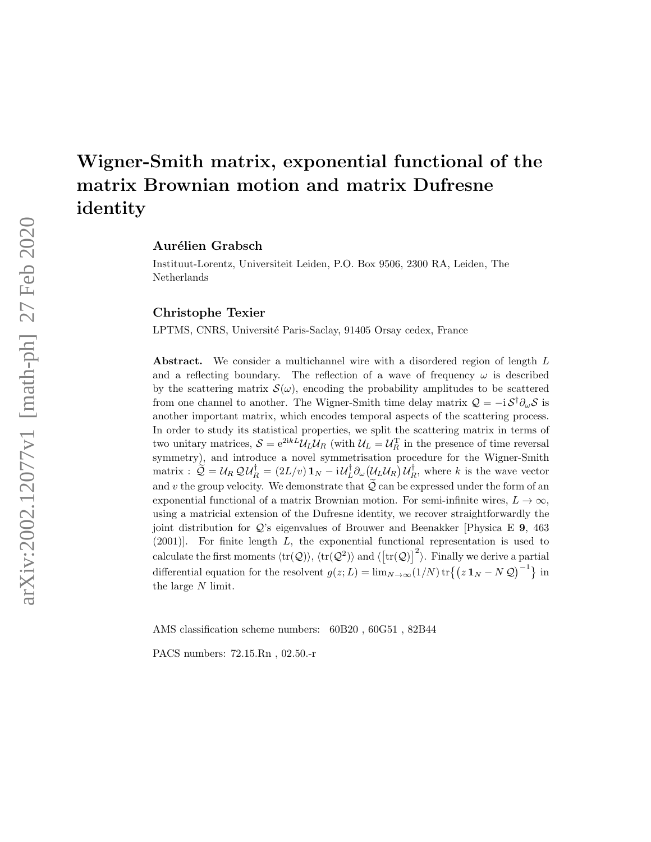# Wigner-Smith matrix, exponential functional of the matrix Brownian motion and matrix Dufresne identity

Aurélien Grabsch

Instituut-Lorentz, Universiteit Leiden, P.O. Box 9506, 2300 RA, Leiden, The Netherlands

Christophe Texier

LPTMS, CNRS, Université Paris-Saclay, 91405 Orsay cedex, France

Abstract. We consider a multichannel wire with a disordered region of length L and a reflecting boundary. The reflection of a wave of frequency  $\omega$  is described by the scattering matrix  $\mathcal{S}(\omega)$ , encoding the probability amplitudes to be scattered from one channel to another. The Wigner-Smith time delay matrix  $\mathcal{Q} = -i \mathcal{S}^{\dagger} \partial_{\omega} \mathcal{S}$  is another important matrix, which encodes temporal aspects of the scattering process. In order to study its statistical properties, we split the scattering matrix in terms of two unitary matrices,  $S = e^{2ikL} \mathcal{U}_L \mathcal{U}_R$  (with  $\mathcal{U}_L = \mathcal{U}_R^T$  in the presence of time reversal symmetry), and introduce a novel symmetrisation procedure for the Wigner-Smith matrix :  $\widetilde{Q} = U_R Q U_R^{\dagger} = (2L/v) \mathbf{1}_N - i U_L^{\dagger} \partial_{\omega} (U_L U_R) U_R^{\dagger}$ , where k is the wave vector and v the group velocity. We demonstrate that  $\widetilde{Q}$  can be expressed under the form of an exponential functional of a matrix Brownian motion. For semi-infinite wires,  $L \to \infty$ , using a matricial extension of the Dufresne identity, we recover straightforwardly the joint distribution for Q's eigenvalues of Brouwer and Beenakker [Physica E 9, 463 (2001)]. For finite length L, the exponential functional representation is used to calculate the first moments  $\langle \text{tr}(\mathcal{Q}) \rangle$ ,  $\langle \text{tr}(\mathcal{Q}^2) \rangle$  and  $\langle [\text{tr}(\mathcal{Q})]^2 \rangle$ . Finally we derive a partial differential equation for the resolvent  $g(z;L) = \lim_{N \to \infty} (1/N) \text{tr} \{(z \mathbf{1}_N - N \mathcal{Q})^{-1} \}$  in the large N limit.

AMS classification scheme numbers: 60B20 , 60G51 , 82B44

PACS numbers: 72.15.Rn , 02.50.-r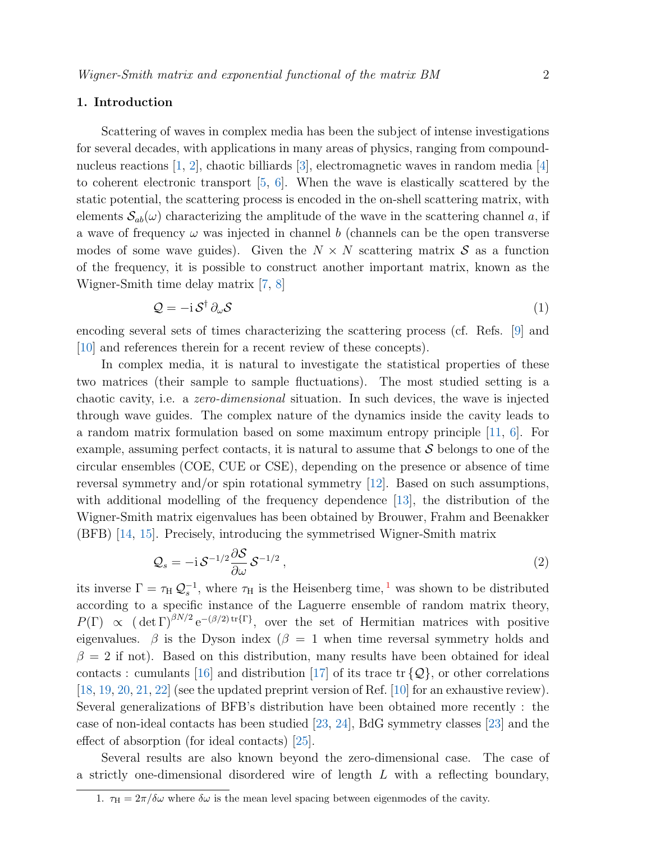### 1. Introduction

Scattering of waves in complex media has been the subject of intense investigations for several decades, with applications in many areas of physics, ranging from compoundnucleus reactions [\[1,](#page-27-0) [2\]](#page-27-1), chaotic billiards [\[3\]](#page-27-2), electromagnetic waves in random media [\[4\]](#page-27-3) to coherent electronic transport [\[5,](#page-27-4) [6\]](#page-27-5). When the wave is elastically scattered by the static potential, the scattering process is encoded in the on-shell scattering matrix, with elements  $S_{ab}(\omega)$  characterizing the amplitude of the wave in the scattering channel a, if a wave of frequency  $\omega$  was injected in channel b (channels can be the open transverse modes of some wave guides). Given the  $N \times N$  scattering matrix S as a function of the frequency, it is possible to construct another important matrix, known as the Wigner-Smith time delay matrix [\[7,](#page-27-6) [8\]](#page-27-7)

$$
\mathcal{Q} = -\mathrm{i}\,\mathcal{S}^\dagger\,\partial_\omega\mathcal{S} \tag{1}
$$

encoding several sets of times characterizing the scattering process (cf. Refs. [\[9\]](#page-27-8) and [\[10\]](#page-27-9) and references therein for a recent review of these concepts).

In complex media, it is natural to investigate the statistical properties of these two matrices (their sample to sample fluctuations). The most studied setting is a chaotic cavity, i.e. a zero-dimensional situation. In such devices, the wave is injected through wave guides. The complex nature of the dynamics inside the cavity leads to a random matrix formulation based on some maximum entropy principle [\[11,](#page-27-10) [6\]](#page-27-5). For example, assuming perfect contacts, it is natural to assume that  $\mathcal S$  belongs to one of the circular ensembles (COE, CUE or CSE), depending on the presence or absence of time reversal symmetry and/or spin rotational symmetry [\[12\]](#page-27-11). Based on such assumptions, with additional modelling of the frequency dependence [\[13\]](#page-27-12), the distribution of the Wigner-Smith matrix eigenvalues has been obtained by Brouwer, Frahm and Beenakker (BFB) [\[14,](#page-27-13) [15\]](#page-27-14). Precisely, introducing the symmetrised Wigner-Smith matrix

$$
\mathcal{Q}_s = -\mathrm{i}\,\mathcal{S}^{-1/2}\frac{\partial\mathcal{S}}{\partial\omega}\,\mathcal{S}^{-1/2}\,,\tag{2}
$$

its inverse  $\Gamma = \tau_H Q_s^{-1}$  $\Gamma = \tau_H Q_s^{-1}$  $\Gamma = \tau_H Q_s^{-1}$ , where  $\tau_H$  is the Heisenberg time,<sup>1</sup> was shown to be distributed according to a specific instance of the Laguerre ensemble of random matrix theory,  $P(\Gamma) \propto (\det \Gamma)^{\beta N/2} e^{-(\beta/2) \text{tr}\{\Gamma\}},$  over the set of Hermitian matrices with positive eigenvalues.  $\beta$  is the Dyson index ( $\beta = 1$  when time reversal symmetry holds and  $\beta = 2$  if not). Based on this distribution, many results have been obtained for ideal contacts : cumulants [\[16\]](#page-27-15) and distribution [\[17\]](#page-27-16) of its trace  $\text{tr} \{\mathcal{Q}\}\$ , or other correlations [\[18,](#page-27-17) [19,](#page-27-18) [20,](#page-27-19) [21,](#page-27-20) [22\]](#page-28-0) (see the updated preprint version of Ref. [\[10\]](#page-27-9) for an exhaustive review). Several generalizations of BFB's distribution have been obtained more recently : the case of non-ideal contacts has been studied [\[23,](#page-28-1) [24\]](#page-28-2), BdG symmetry classes [\[23\]](#page-28-1) and the effect of absorption (for ideal contacts) [\[25\]](#page-28-3).

Several results are also known beyond the zero-dimensional case. The case of a strictly one-dimensional disordered wire of length  $L$  with a reflecting boundary,

<span id="page-1-0"></span><sup>1.</sup>  $\tau_{\text{H}} = 2\pi/\delta\omega$  where  $\delta\omega$  is the mean level spacing between eigenmodes of the cavity.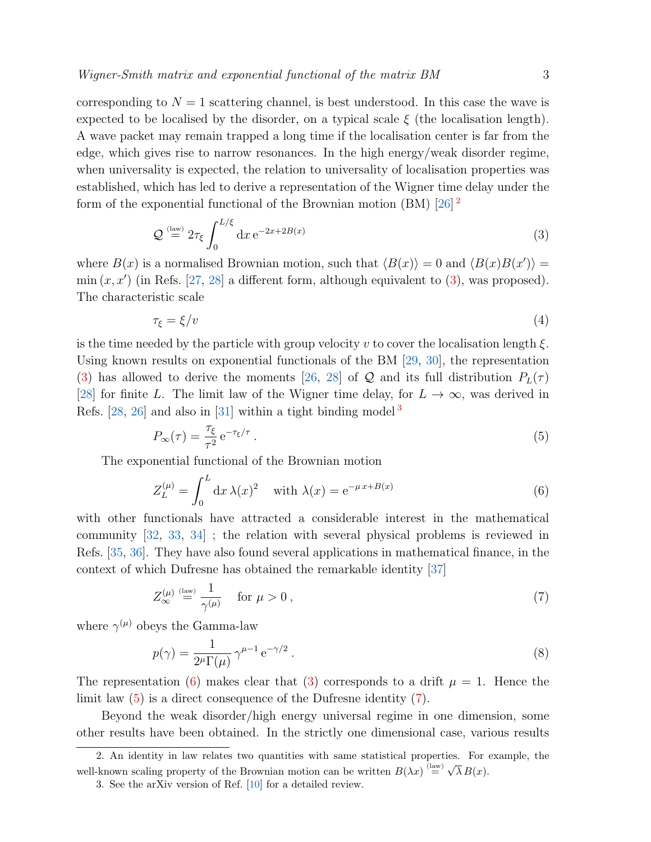corresponding to  $N = 1$  scattering channel, is best understood. In this case the wave is expected to be localised by the disorder, on a typical scale  $\xi$  (the localisation length). A wave packet may remain trapped a long time if the localisation center is far from the edge, which gives rise to narrow resonances. In the high energy/weak disorder regime, when universality is expected, the relation to universality of localisation properties was established, which has led to derive a representation of the Wigner time delay under the form of the exponential functional of the Brownian motion (BM) [\[26\]](#page-28-4)<sup>[2](#page-2-0)</sup>

<span id="page-2-1"></span>
$$
\mathcal{Q} \stackrel{\text{(law)}}{=} 2\tau_{\xi} \int_0^{L/\xi} dx \,\mathrm{e}^{-2x+2B(x)}\tag{3}
$$

where  $B(x)$  is a normalised Brownian motion, such that  $\langle B(x) \rangle = 0$  and  $\langle B(x)B(x') \rangle =$  $\min(x, x')$  (in Refs. [\[27,](#page-28-5) [28\]](#page-28-6) a different form, although equivalent to [\(3\)](#page-2-1), was proposed). The characteristic scale

$$
\tau_{\xi} = \xi/v \tag{4}
$$

is the time needed by the particle with group velocity v to cover the localisation length  $\xi$ . Using known results on exponential functionals of the BM [\[29,](#page-28-7) [30\]](#page-28-8), the representation [\(3\)](#page-2-1) has allowed to derive the moments [\[26,](#page-28-4) [28\]](#page-28-6) of Q and its full distribution  $P_L(\tau)$ [\[28\]](#page-28-6) for finite L. The limit law of the Wigner time delay, for  $L \to \infty$ , was derived in Refs.  $[28, 26]$  $[28, 26]$  and also in  $[31]$  $[31]$  $[31]$  within a tight binding model<sup>3</sup>

<span id="page-2-4"></span>
$$
P_{\infty}(\tau) = \frac{\tau_{\xi}}{\tau^2} e^{-\tau_{\xi}/\tau} \,. \tag{5}
$$

The exponential functional of the Brownian motion

<span id="page-2-3"></span>
$$
Z_L^{(\mu)} = \int_0^L dx \,\lambda(x)^2 \quad \text{with } \lambda(x) = e^{-\mu x + B(x)} \tag{6}
$$

with other functionals have attracted a considerable interest in the mathematical community [\[32,](#page-28-10) [33,](#page-28-11) [34\]](#page-28-12) ; the relation with several physical problems is reviewed in Refs. [\[35,](#page-28-13) [36\]](#page-28-14). They have also found several applications in mathematical finance, in the context of which Dufresne has obtained the remarkable identity [\[37\]](#page-28-15)

<span id="page-2-5"></span>
$$
Z_{\infty}^{(\mu)} \stackrel{\text{(law)}}{=} \frac{1}{\gamma^{(\mu)}} \quad \text{for } \mu > 0 \,, \tag{7}
$$

where  $\gamma^{(\mu)}$  obeys the Gamma-law

$$
p(\gamma) = \frac{1}{2^{\mu} \Gamma(\mu)} \gamma^{\mu - 1} e^{-\gamma/2} . \tag{8}
$$

The representation [\(6\)](#page-2-3) makes clear that [\(3\)](#page-2-1) corresponds to a drift  $\mu = 1$ . Hence the limit law [\(5\)](#page-2-4) is a direct consequence of the Dufresne identity [\(7\)](#page-2-5).

Beyond the weak disorder/high energy universal regime in one dimension, some other results have been obtained. In the strictly one dimensional case, various results

<span id="page-2-0"></span><sup>2.</sup> An identity in law relates two quantities with same statistical properties. For example, the well-known scaling property of the Brownian motion can be written  $B(\lambda x) \stackrel{\text{(law)}}{=}$ √  $\lambda B(x)$ .

<span id="page-2-2"></span><sup>3.</sup> See the arXiv version of Ref. [\[10\]](#page-27-9) for a detailed review.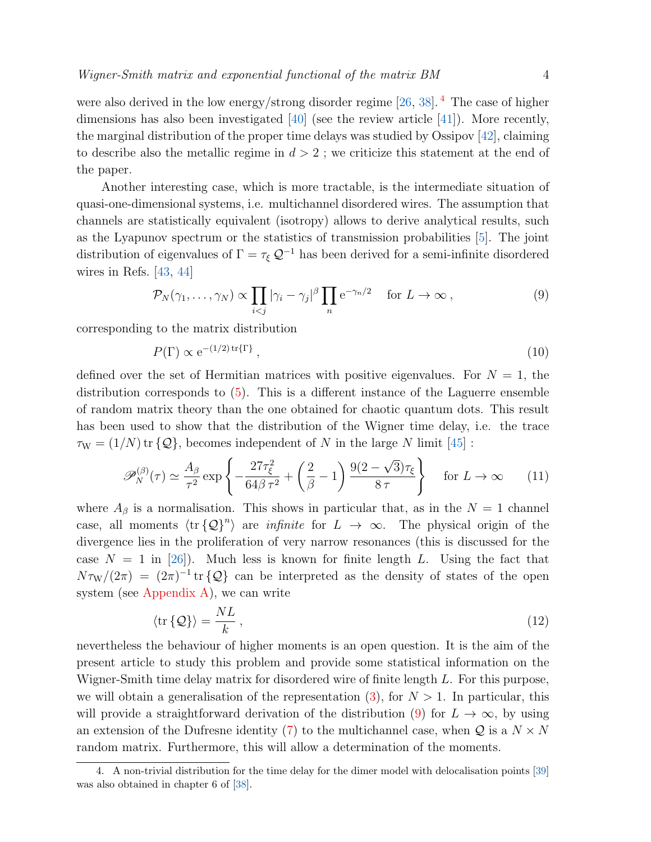were also derived in the low energy/strong disorder regime [\[26,](#page-28-4) [38\]](#page-28-16). <sup>[4](#page-3-0)</sup> The case of higher dimensions has also been investigated  $[40]$  (see the review article  $[41]$ ). More recently, the marginal distribution of the proper time delays was studied by Ossipov [\[42\]](#page-28-19), claiming to describe also the metallic regime in  $d > 2$ ; we criticize this statement at the end of the paper.

Another interesting case, which is more tractable, is the intermediate situation of quasi-one-dimensional systems, i.e. multichannel disordered wires. The assumption that channels are statistically equivalent (isotropy) allows to derive analytical results, such as the Lyapunov spectrum or the statistics of transmission probabilities [\[5\]](#page-27-4). The joint distribution of eigenvalues of  $\Gamma = \tau_{\xi} \mathcal{Q}^{-1}$  has been derived for a semi-infinite disordered wires in Refs. [\[43,](#page-28-20) [44\]](#page-28-21)

<span id="page-3-1"></span>
$$
\mathcal{P}_N(\gamma_1,\ldots,\gamma_N) \propto \prod_{i < j} |\gamma_i - \gamma_j|^\beta \prod_n e^{-\gamma_n/2} \quad \text{for } L \to \infty \,, \tag{9}
$$

corresponding to the matrix distribution

<span id="page-3-2"></span>
$$
P(\Gamma) \propto e^{-(1/2)\operatorname{tr}\{\Gamma\}},\tag{10}
$$

defined over the set of Hermitian matrices with positive eigenvalues. For  $N = 1$ , the distribution corresponds to [\(5\)](#page-2-4). This is a different instance of the Laguerre ensemble of random matrix theory than the one obtained for chaotic quantum dots. This result has been used to show that the distribution of the Wigner time delay, i.e. the trace  $\tau_W = (1/N) \text{ tr } {\{\mathcal{Q}\}}$ , becomes independent of N in the large N limit [\[45\]](#page-28-22):

$$
\mathscr{P}_N^{(\beta)}(\tau) \simeq \frac{A_\beta}{\tau^2} \exp\left\{-\frac{27\tau_\xi^2}{64\beta\,\tau^2} + \left(\frac{2}{\beta} - 1\right) \frac{9(2 - \sqrt{3})\tau_\xi}{8\,\tau}\right\} \quad \text{for } L \to \infty \tag{11}
$$

where  $A_\beta$  is a normalisation. This shows in particular that, as in the  $N = 1$  channel case, all moments  $\langle \text{tr} \{Q\}^n \rangle$  are *infinite* for  $L \to \infty$ . The physical origin of the divergence lies in the proliferation of very narrow resonances (this is discussed for the case  $N = 1$  in [\[26\]](#page-28-4)). Much less is known for finite length L. Using the fact that  $N\tau_{\rm W}/(2\pi) = (2\pi)^{-1}$  tr  $\{Q\}$  can be interpreted as the density of states of the open system (see [Appendix A\)](#page-24-0), we can write

<span id="page-3-3"></span>
$$
\langle \text{tr}\{\mathcal{Q}\}\rangle = \frac{NL}{k} \,,\tag{12}
$$

nevertheless the behaviour of higher moments is an open question. It is the aim of the present article to study this problem and provide some statistical information on the Wigner-Smith time delay matrix for disordered wire of finite length L. For this purpose, we will obtain a generalisation of the representation [\(3\)](#page-2-1), for  $N > 1$ . In particular, this will provide a straightforward derivation of the distribution [\(9\)](#page-3-1) for  $L \to \infty$ , by using an extension of the Dufresne identity [\(7\)](#page-2-5) to the multichannel case, when  $Q$  is a  $N \times N$ random matrix. Furthermore, this will allow a determination of the moments.

<span id="page-3-0"></span><sup>4.</sup> A non-trivial distribution for the time delay for the dimer model with delocalisation points [\[39\]](#page-28-23) was also obtained in chapter 6 of [\[38\]](#page-28-16).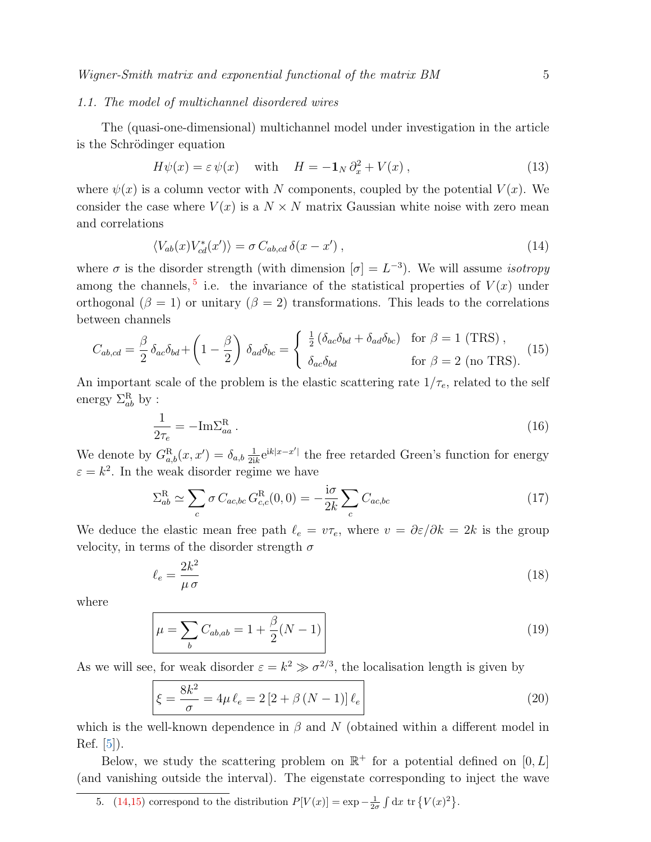### <span id="page-4-3"></span>1.1. The model of multichannel disordered wires

The (quasi-one-dimensional) multichannel model under investigation in the article is the Schrödinger equation

<span id="page-4-4"></span>
$$
H\psi(x) = \varepsilon \psi(x) \quad \text{with} \quad H = -\mathbf{1}_N \partial_x^2 + V(x) \,, \tag{13}
$$

where  $\psi(x)$  is a column vector with N components, coupled by the potential  $V(x)$ . We consider the case where  $V(x)$  is a  $N \times N$  matrix Gaussian white noise with zero mean and correlations

<span id="page-4-1"></span>
$$
\langle V_{ab}(x)V_{cd}^*(x')\rangle = \sigma C_{ab,cd} \,\delta(x - x')\,,\tag{14}
$$

where  $\sigma$  is the disorder strength (with dimension  $[\sigma] = L^{-3}$ ). We will assume *isotropy* among the channels,<sup>[5](#page-4-0)</sup> i.e. the invariance of the statistical properties of  $V(x)$  under orthogonal ( $\beta = 1$ ) or unitary ( $\beta = 2$ ) transformations. This leads to the correlations between channels

<span id="page-4-2"></span>
$$
C_{ab,cd} = \frac{\beta}{2} \delta_{ac} \delta_{bd} + \left(1 - \frac{\beta}{2}\right) \delta_{ad} \delta_{bc} = \begin{cases} \frac{1}{2} \left(\delta_{ac} \delta_{bd} + \delta_{ad} \delta_{bc}\right) & \text{for } \beta = 1 \text{ (TRS)},\\ \delta_{ac} \delta_{bd} & \text{for } \beta = 2 \text{ (no TRS)}. \end{cases}
$$
(15)

An important scale of the problem is the elastic scattering rate  $1/\tau_e$ , related to the self energy  $\Sigma^{\rm R}_{ab}$  by :

$$
\frac{1}{2\tau_e} = -\mathrm{Im}\Sigma_{aa}^{\mathrm{R}}\,. \tag{16}
$$

We denote by  $G_{a,b}^{\rm R}(x,x') = \delta_{a,b} \frac{1}{2i}$  $\frac{1}{2ik}e^{ik|x-x'|}$  the free retarded Green's function for energy  $\varepsilon = k^2$ . In the weak disorder regime we have

$$
\Sigma_{ab}^{\mathcal{R}} \simeq \sum_{c} \sigma C_{ac,bc} G_{c,c}^{\mathcal{R}}(0,0) = -\frac{\mathrm{i}\sigma}{2k} \sum_{c} C_{ac,bc} \tag{17}
$$

We deduce the elastic mean free path  $\ell_e = v\tau_e$ , where  $v = \partial \varepsilon/\partial k = 2k$  is the group velocity, in terms of the disorder strength  $\sigma$ 

$$
\ell_e = \frac{2k^2}{\mu \sigma} \tag{18}
$$

where

<span id="page-4-5"></span>
$$
\mu = \sum_{b} C_{ab,ab} = 1 + \frac{\beta}{2}(N-1)
$$
\n(19)

As we will see, for weak disorder  $\varepsilon = k^2 \gg \sigma^{2/3}$ , the localisation length is given by

$$
\xi = \frac{8k^2}{\sigma} = 4\mu \,\ell_e = 2\left[2 + \beta \,(N - 1)\right] \ell_e \tag{20}
$$

which is the well-known dependence in  $\beta$  and N (obtained within a different model in Ref. [\[5\]](#page-27-4)).

Below, we study the scattering problem on  $\mathbb{R}^+$  for a potential defined on  $[0, L]$ (and vanishing outside the interval). The eigenstate corresponding to inject the wave

<span id="page-4-0"></span><sup>5.</sup> [\(14](#page-4-1)[,15\)](#page-4-2) correspond to the distribution  $P[V(x)] = \exp{-\frac{1}{2\sigma} \int dx \operatorname{tr} \{V(x)^2\}}$ .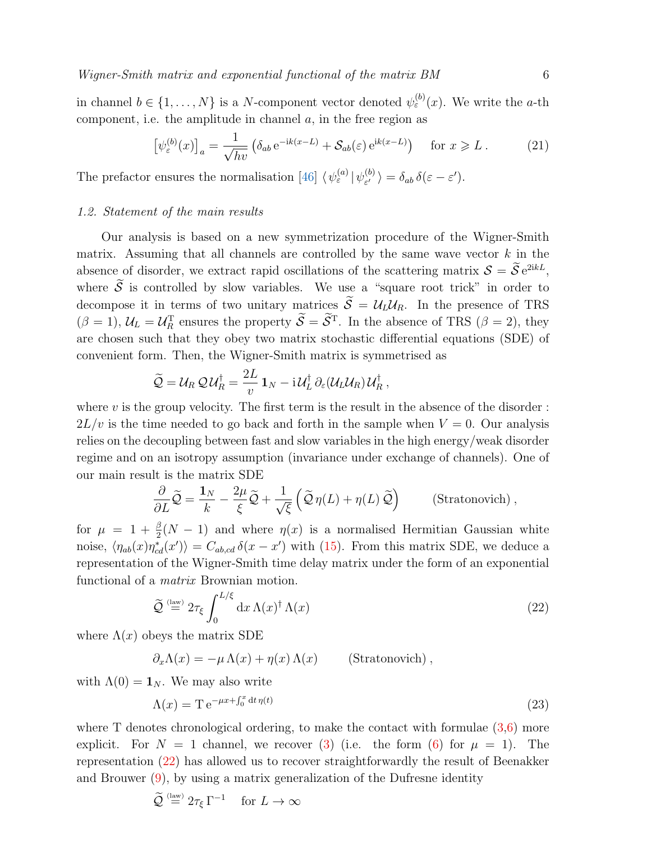in channel  $b \in \{1, \ldots, N\}$  is a N-component vector denoted  $\psi_{\varepsilon}^{(b)}(x)$ . We write the a-th component, i.e. the amplitude in channel  $a$ , in the free region as

<span id="page-5-1"></span>
$$
\left[\psi_{\varepsilon}^{(b)}(x)\right]_a = \frac{1}{\sqrt{hv}} \left(\delta_{ab} \,\mathrm{e}^{-\mathrm{i}k(x-L)} + \mathcal{S}_{ab}(\varepsilon) \,\mathrm{e}^{\mathrm{i}k(x-L)}\right) \quad \text{for } x \geqslant L\,. \tag{21}
$$

The prefactor ensures the normalisation [\[46\]](#page-29-0)  $\langle \psi_{\varepsilon}^{(a)} | \psi_{\varepsilon'}^{(b)} \rangle$  $\begin{aligned} \binom{(b)}{\varepsilon'} & \rangle = \delta_{ab} \, \delta(\varepsilon - \varepsilon'). \end{aligned}$ 

### 1.2. Statement of the main results

Our analysis is based on a new symmetrization procedure of the Wigner-Smith matrix. Assuming that all channels are controlled by the same wave vector  $k$  in the absence of disorder, we extract rapid oscillations of the scattering matrix  $S = \mathcal{S}e^{2ikL}$ , where  $\widetilde{S}$  is controlled by slow variables. We use a "square root trick" in order to decompose it in terms of two unitary matrices  $\widetilde{S} = \mathcal{U}_L \mathcal{U}_R$ . In the presence of TRS  $(\beta = 1)$ ,  $\mathcal{U}_L = \mathcal{U}_R^T$  ensures the property  $\mathcal{S} = \mathcal{S}^T$ . In the absence of TRS  $(\beta = 2)$ , they are chosen such that they obey two matrix stochastic differential equations (SDE) of convenient form. Then, the Wigner-Smith matrix is symmetrised as

$$
\widetilde{Q} = \mathcal{U}_R \mathcal{Q} \mathcal{U}_R^{\dagger} = \frac{2L}{v} \mathbf{1}_N - \mathrm{i} \mathcal{U}_L^{\dagger} \partial_{\varepsilon} (\mathcal{U}_L \mathcal{U}_R) \mathcal{U}_R^{\dagger} ,
$$

where  $v$  is the group velocity. The first term is the result in the absence of the disorder :  $2L/v$  is the time needed to go back and forth in the sample when  $V = 0$ . Our analysis relies on the decoupling between fast and slow variables in the high energy/weak disorder regime and on an isotropy assumption (invariance under exchange of channels). One of our main result is the matrix SDE

$$
\frac{\partial}{\partial L}\widetilde{Q} = \frac{\mathbf{1}_N}{k} - \frac{2\mu}{\xi}\widetilde{Q} + \frac{1}{\sqrt{\xi}}\left(\widetilde{Q}\,\eta(L) + \eta(L)\,\widetilde{Q}\right) \qquad \text{(Stratonovich)},
$$

for  $\mu = 1 + \frac{\beta}{2}(N-1)$  and where  $\eta(x)$  is a normalised Hermitian Gaussian white noise,  $\langle \eta_{ab}(x)\eta_{cd}^*(x')\rangle = C_{ab,cd} \delta(x-x')$  with [\(15\)](#page-4-2). From this matrix SDE, we deduce a representation of the Wigner-Smith time delay matrix under the form of an exponential functional of a matrix Brownian motion.

<span id="page-5-0"></span>
$$
\widetilde{\mathcal{Q}} \stackrel{\text{(law)}}{=} 2\tau_{\xi} \int_0^{L/\xi} dx \,\Lambda(x)^{\dagger} \,\Lambda(x) \tag{22}
$$

where  $\Lambda(x)$  obeys the matrix SDE

$$
\partial_x \Lambda(x) = -\mu \Lambda(x) + \eta(x) \Lambda(x) \quad \text{(Stratonovich)}\;,
$$

with  $\Lambda(0) = \mathbf{1}_N$ . We may also write

<span id="page-5-2"></span>
$$
\Lambda(x) = \mathcal{T} e^{-\mu x + \int_0^x dt \,\eta(t)} \tag{23}
$$

where T denotes chronological ordering, to make the contact with formulae  $(3,6)$  $(3,6)$  more explicit. For  $N = 1$  channel, we recover [\(3\)](#page-2-1) (i.e. the form [\(6\)](#page-2-3) for  $\mu = 1$ ). The representation [\(22\)](#page-5-0) has allowed us to recover straightforwardly the result of Beenakker and Brouwer [\(9\)](#page-3-1), by using a matrix generalization of the Dufresne identity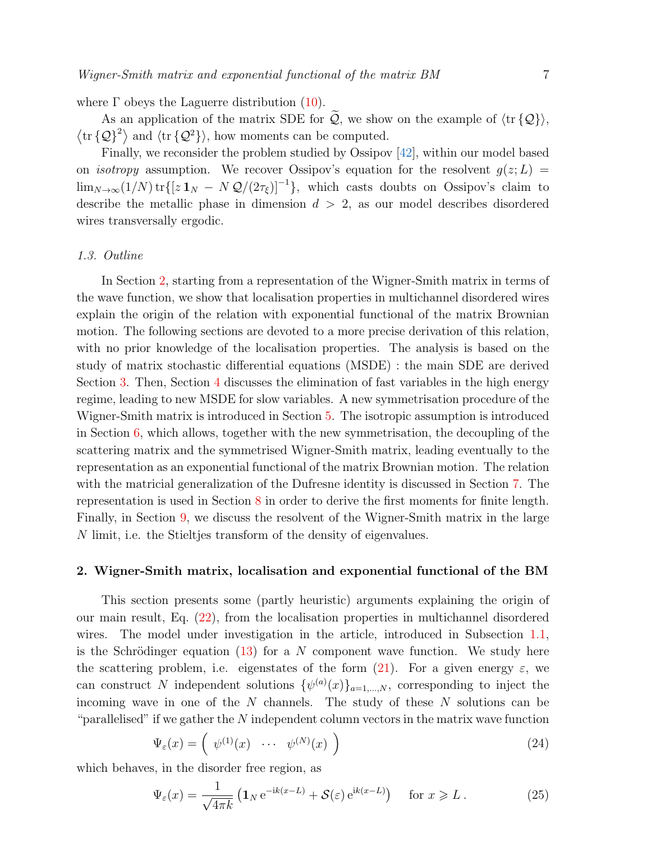where  $\Gamma$  obeys the Laguerre distribution [\(10\)](#page-3-2).

As an application of the matrix SDE for  $\widetilde{Q}$ , we show on the example of  $\langle \text{tr} \{Q\} \rangle$ ,  $\langle \text{tr} \{ \mathcal{Q} \}^2 \rangle$  and  $\langle \text{tr} \{ \mathcal{Q}^2 \} \rangle$ , how moments can be computed.

Finally, we reconsider the problem studied by Ossipov [\[42\]](#page-28-19), within our model based on *isotropy* assumption. We recover Ossipov's equation for the resolvent  $g(z; L)$  $\lim_{N\to\infty}(1/N)\operatorname{tr}\{[z\mathbf{1}_N - N\mathcal{Q}/(2\tau_{\xi})]^{-1}\},$  which casts doubts on Ossipov's claim to describe the metallic phase in dimension  $d > 2$ , as our model describes disordered wires transversally ergodic.

### 1.3. Outline

In Section [2,](#page-6-0) starting from a representation of the Wigner-Smith matrix in terms of the wave function, we show that localisation properties in multichannel disordered wires explain the origin of the relation with exponential functional of the matrix Brownian motion. The following sections are devoted to a more precise derivation of this relation, with no prior knowledge of the localisation properties. The analysis is based on the study of matrix stochastic differential equations (MSDE) : the main SDE are derived Section [3.](#page-9-0) Then, Section [4](#page-9-1) discusses the elimination of fast variables in the high energy regime, leading to new MSDE for slow variables. A new symmetrisation procedure of the Wigner-Smith matrix is introduced in Section [5.](#page-11-0) The isotropic assumption is introduced in Section [6,](#page-12-0) which allows, together with the new symmetrisation, the decoupling of the scattering matrix and the symmetrised Wigner-Smith matrix, leading eventually to the representation as an exponential functional of the matrix Brownian motion. The relation with the matricial generalization of the Dufresne identity is discussed in Section [7.](#page-16-0) The representation is used in Section [8](#page-18-0) in order to derive the first moments for finite length. Finally, in Section [9,](#page-21-0) we discuss the resolvent of the Wigner-Smith matrix in the large N limit, i.e. the Stieltjes transform of the density of eigenvalues.

### <span id="page-6-0"></span>2. Wigner-Smith matrix, localisation and exponential functional of the BM

This section presents some (partly heuristic) arguments explaining the origin of our main result, Eq. [\(22\)](#page-5-0), from the localisation properties in multichannel disordered wires. The model under investigation in the article, introduced in Subsection [1.1,](#page-4-3) is the Schrödinger equation  $(13)$  for a N component wave function. We study here the scattering problem, i.e. eigenstates of the form  $(21)$ . For a given energy  $\varepsilon$ , we can construct N independent solutions  $\{\psi^{(a)}(x)\}_{a=1,\dots,N}$ , corresponding to inject the incoming wave in one of the  $N$  channels. The study of these  $N$  solutions can be "parallelised" if we gather the  $N$  independent column vectors in the matrix wave function

$$
\Psi_{\varepsilon}(x) = \left(\begin{array}{ccc} \psi^{(1)}(x) & \cdots & \psi^{(N)}(x) \end{array}\right) \tag{24}
$$

which behaves, in the disorder free region, as

<span id="page-6-1"></span>
$$
\Psi_{\varepsilon}(x) = \frac{1}{\sqrt{4\pi k}} \left( \mathbf{1}_N \, \mathrm{e}^{-\mathrm{i}k(x-L)} + \mathcal{S}(\varepsilon) \, \mathrm{e}^{\mathrm{i}k(x-L)} \right) \quad \text{for } x \geqslant L \,. \tag{25}
$$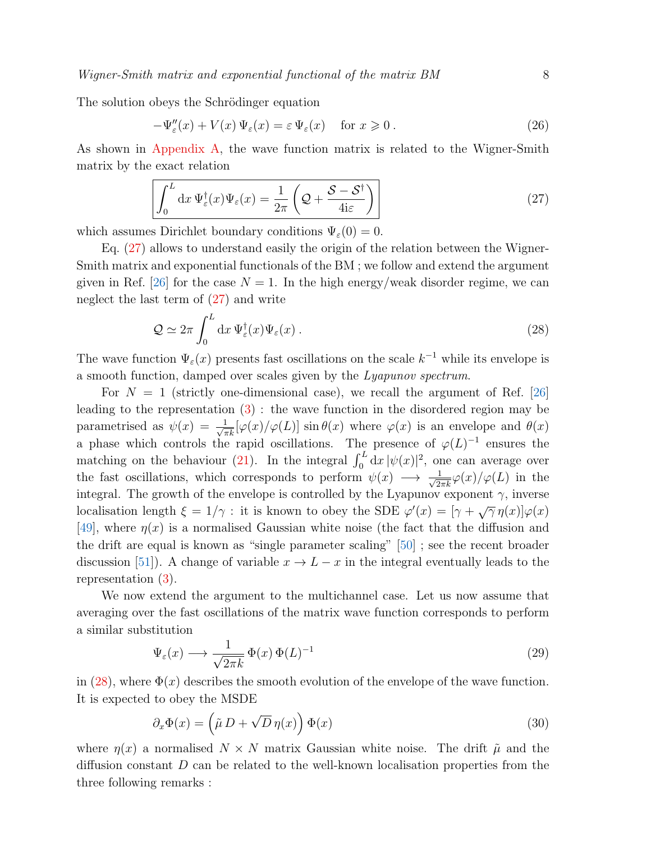The solution obeys the Schrödinger equation

<span id="page-7-4"></span>
$$
-\Psi''_{\varepsilon}(x) + V(x)\,\Psi_{\varepsilon}(x) = \varepsilon\,\Psi_{\varepsilon}(x) \quad \text{for } x \geqslant 0. \tag{26}
$$

As shown in [Appendix A,](#page-24-0) the wave function matrix is related to the Wigner-Smith matrix by the exact relation

<span id="page-7-0"></span>
$$
\int_0^L dx \Psi_{\varepsilon}^{\dagger}(x) \Psi_{\varepsilon}(x) = \frac{1}{2\pi} \left( \mathcal{Q} + \frac{\mathcal{S} - \mathcal{S}^{\dagger}}{4i\varepsilon} \right)
$$
(27)

which assumes Dirichlet boundary conditions  $\Psi_{\varepsilon}(0) = 0$ .

Eq. [\(27\)](#page-7-0) allows to understand easily the origin of the relation between the Wigner-Smith matrix and exponential functionals of the BM ; we follow and extend the argument given in Ref. [\[26\]](#page-28-4) for the case  $N = 1$ . In the high energy/weak disorder regime, we can neglect the last term of [\(27\)](#page-7-0) and write

<span id="page-7-1"></span>
$$
\mathcal{Q} \simeq 2\pi \int_0^L dx \, \Psi_{\varepsilon}^{\dagger}(x) \Psi_{\varepsilon}(x) \,. \tag{28}
$$

The wave function  $\Psi_{\varepsilon}(x)$  presents fast oscillations on the scale  $k^{-1}$  while its envelope is a smooth function, damped over scales given by the Lyapunov spectrum.

For  $N = 1$  (strictly one-dimensional case), we recall the argument of Ref. [\[26\]](#page-28-4) leading to the representation [\(3\)](#page-2-1) : the wave function in the disordered region may be parametrised as  $\psi(x) = \frac{1}{\sqrt{\pi k}} [\varphi(x) / \varphi(L)] \sin \theta(x)$  where  $\varphi(x)$  is an envelope and  $\theta(x)$ a phase which controls the rapid oscillations. The presence of  $\varphi(L)^{-1}$  ensures the matching on the behaviour [\(21\)](#page-5-1). In the integral  $\int_0^L dx |\psi(x)|^2$ , one can average over the fast oscillations, which corresponds to perform  $\psi(x) \longrightarrow \frac{1}{\sqrt{2\pi k}}\varphi(x)/\varphi(L)$  in the integral. The growth of the envelope is controlled by the Lyapunov exponent  $\gamma$ , inverse localisation length  $\xi = 1/\gamma$ : it is known to obey the SDE  $\varphi'(x) = [\gamma + \sqrt{\gamma} \eta(x)] \varphi(x)$ [\[49\]](#page-29-1), where  $\eta(x)$  is a normalised Gaussian white noise (the fact that the diffusion and the drift are equal is known as "single parameter scaling" [\[50\]](#page-29-2) ; see the recent broader discussion [\[51\]](#page-29-3)). A change of variable  $x \to L - x$  in the integral eventually leads to the representation [\(3\)](#page-2-1).

We now extend the argument to the multichannel case. Let us now assume that averaging over the fast oscillations of the matrix wave function corresponds to perform a similar substitution

<span id="page-7-3"></span>
$$
\Psi_{\varepsilon}(x) \longrightarrow \frac{1}{\sqrt{2\pi k}} \Phi(x) \Phi(L)^{-1}
$$
\n(29)

in [\(28\)](#page-7-1), where  $\Phi(x)$  describes the smooth evolution of the envelope of the wave function. It is expected to obey the MSDE

<span id="page-7-2"></span>
$$
\partial_x \Phi(x) = \left(\tilde{\mu} D + \sqrt{D} \eta(x)\right) \Phi(x) \tag{30}
$$

where  $\eta(x)$  a normalised  $N \times N$  matrix Gaussian white noise. The drift  $\tilde{\mu}$  and the diffusion constant D can be related to the well-known localisation properties from the three following remarks :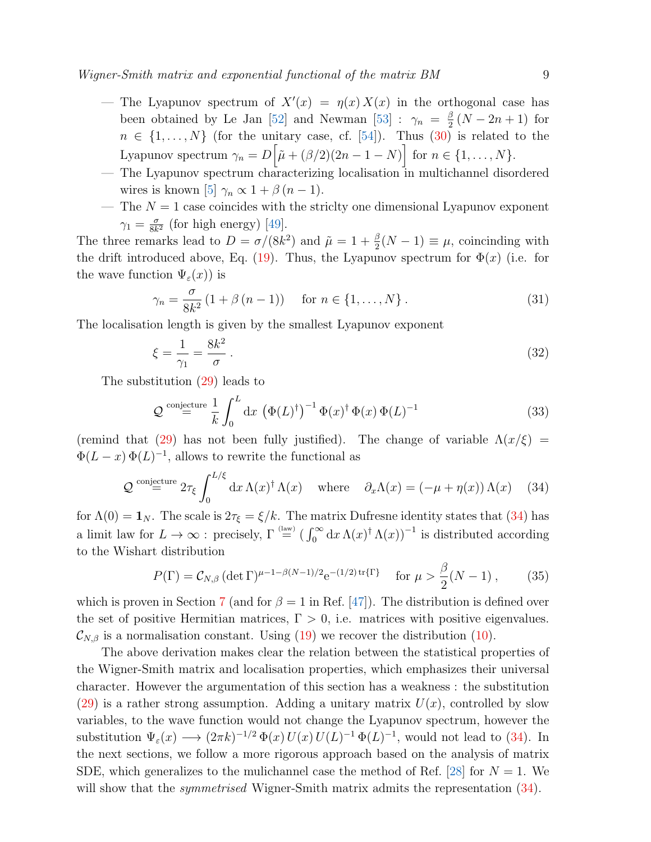- The Lyapunov spectrum of  $X'(x) = \eta(x) X(x)$  in the orthogonal case has been obtained by Le Jan [\[52\]](#page-29-4) and Newman [\[53\]](#page-29-5) :  $\gamma_n = \frac{\beta}{2}$  $\frac{\beta}{2}(N-2n+1)$  for  $n \in \{1, \ldots, N\}$  (for the unitary case, cf. [\[54\]](#page-29-6)). Thus [\(30\)](#page-7-2) is related to the Lyapunov spectrum  $\gamma_n = D\big[\tilde{\mu} + (\beta/2)(2n-1-N)\big]$  for  $n \in \{1, \ldots, N\}$ .
- The Lyapunov spectrum characterizing localisation in multichannel disordered wires is known [\[5\]](#page-27-4)  $\gamma_n \propto 1 + \beta (n-1)$ .
- The  $N = 1$  case coincides with the strictly one dimensional Lyapunov exponent  $\gamma_1 = \frac{\sigma}{8k}$  $\frac{\sigma}{8k^2}$  (for high energy) [\[49\]](#page-29-1).

The three remarks lead to  $D = \sigma/(8k^2)$  and  $\tilde{\mu} = 1 + \frac{\beta}{2}(N-1) \equiv \mu$ , coincinding with the drift introduced above, Eq. [\(19\)](#page-4-5). Thus, the Lyapunov spectrum for  $\Phi(x)$  (i.e. for the wave function  $\Psi_{\varepsilon}(x)$  is

$$
\gamma_n = \frac{\sigma}{8k^2} (1 + \beta (n - 1)) \quad \text{for } n \in \{1, ..., N\}.
$$
 (31)

The localisation length is given by the smallest Lyapunov exponent

$$
\xi = \frac{1}{\gamma_1} = \frac{8k^2}{\sigma} \,. \tag{32}
$$

The substitution [\(29\)](#page-7-3) leads to

$$
\mathcal{Q} \stackrel{\text{conjecture}}{=} \frac{1}{k} \int_0^L \mathrm{d}x \, \left( \Phi(L)^\dagger \right)^{-1} \Phi(x)^\dagger \Phi(x) \, \Phi(L)^{-1} \tag{33}
$$

(remind that [\(29\)](#page-7-3) has not been fully justified). The change of variable  $\Lambda(x/\xi)$  =  $\Phi(L-x) \Phi(L)^{-1}$ , allows to rewrite the functional as

<span id="page-8-0"></span>
$$
Q \stackrel{\text{conjecture}}{=} 2\tau_{\xi} \int_0^{L/\xi} dx \,\Lambda(x)^{\dagger} \,\Lambda(x) \quad \text{where} \quad \partial_x \Lambda(x) = (-\mu + \eta(x)) \,\Lambda(x) \tag{34}
$$

for  $\Lambda(0) = \mathbf{1}_N$ . The scale is  $2\tau_{\xi} = \xi/k$ . The matrix Dufresne identity states that [\(34\)](#page-8-0) has a limit law for  $L \to \infty$ : precisely,  $\Gamma \stackrel{\text{(law)}}{=} (\int_0^\infty dx \,\Lambda(x)^\dagger \,\Lambda(x))^{-1}$  is distributed according to the Wishart distribution

$$
P(\Gamma) = C_{N,\beta} \left( \det \Gamma \right)^{\mu - 1 - \beta(N-1)/2} e^{-(1/2) \operatorname{tr} \{ \Gamma \}} \quad \text{for } \mu > \frac{\beta}{2} (N-1) \,, \tag{35}
$$

which is proven in Section [7](#page-16-0) (and for  $\beta = 1$  in Ref. [\[47\]](#page-29-7)). The distribution is defined over the set of positive Hermitian matrices,  $\Gamma > 0$ , i.e. matrices with positive eigenvalues.  $\mathcal{C}_{N,\beta}$  is a normalisation constant. Using [\(19\)](#page-4-5) we recover the distribution [\(10\)](#page-3-2).

The above derivation makes clear the relation between the statistical properties of the Wigner-Smith matrix and localisation properties, which emphasizes their universal character. However the argumentation of this section has a weakness : the substitution [\(29\)](#page-7-3) is a rather strong assumption. Adding a unitary matrix  $U(x)$ , controlled by slow variables, to the wave function would not change the Lyapunov spectrum, however the substitution  $\Psi_{\varepsilon}(x) \longrightarrow (2\pi k)^{-1/2} \Phi(x) U(x) U(L)^{-1} \Phi(L)^{-1}$ , would not lead to [\(34\)](#page-8-0). In the next sections, we follow a more rigorous approach based on the analysis of matrix SDE, which generalizes to the mulichannel case the method of Ref. [\[28\]](#page-28-6) for  $N = 1$ . We will show that the *symmetrised* Wigner-Smith matrix admits the representation [\(34\)](#page-8-0).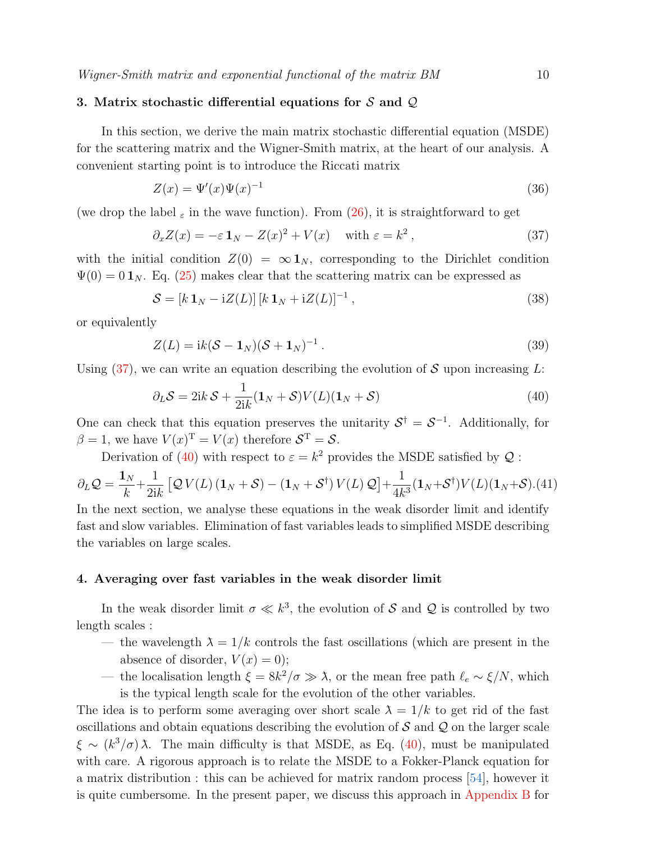# <span id="page-9-0"></span>3. Matrix stochastic differential equations for  $S$  and  $Q$

In this section, we derive the main matrix stochastic differential equation (MSDE) for the scattering matrix and the Wigner-Smith matrix, at the heart of our analysis. A convenient starting point is to introduce the Riccati matrix

$$
Z(x) = \Psi'(x)\Psi(x)^{-1}
$$
\n
$$
(36)
$$

(we drop the label  $_{\varepsilon}$  in the wave function). From [\(26\)](#page-7-4), it is straightforward to get

<span id="page-9-2"></span>
$$
\partial_x Z(x) = -\varepsilon \mathbf{1}_N - Z(x)^2 + V(x) \quad \text{with } \varepsilon = k^2 , \tag{37}
$$

with the initial condition  $Z(0) = \infty \mathbf{1}_N$ , corresponding to the Dirichlet condition  $\Psi(0) = 0 \mathbf{1}_N$ . Eq. [\(25\)](#page-6-1) makes clear that the scattering matrix can be expressed as

$$
\mathcal{S} = [k \mathbf{1}_N - \mathrm{i}Z(L)] [k \mathbf{1}_N + \mathrm{i}Z(L)]^{-1}, \qquad (38)
$$

or equivalently

$$
Z(L) = ik(\mathcal{S} - \mathbf{1}_N)(\mathcal{S} + \mathbf{1}_N)^{-1}.
$$
\n(39)

Using  $(37)$ , we can write an equation describing the evolution of S upon increasing L:

<span id="page-9-3"></span>
$$
\partial_L S = 2ik \mathcal{S} + \frac{1}{2ik} (\mathbf{1}_N + \mathcal{S}) V(L) (\mathbf{1}_N + \mathcal{S})
$$
\n(40)

One can check that this equation preserves the unitarity  $S^{\dagger} = S^{-1}$ . Additionally, for  $\beta = 1$ , we have  $V(x)^{T} = V(x)$  therefore  $S^{T} = S$ .

<span id="page-9-4"></span>Derivation of [\(40\)](#page-9-3) with respect to  $\varepsilon = k^2$  provides the MSDE satisfied by  $\mathcal{Q}$ :

$$
\partial_L \mathcal{Q} = \frac{\mathbf{1}_N}{k} + \frac{1}{2ik} \left[ \mathcal{Q} V(L) \left( \mathbf{1}_N + \mathcal{S} \right) - \left( \mathbf{1}_N + \mathcal{S}^\dagger \right) V(L) \mathcal{Q} \right] + \frac{1}{4k^3} (\mathbf{1}_N + \mathcal{S}^\dagger) V(L) (\mathbf{1}_N + \mathcal{S}). (41)
$$

In the next section, we analyse these equations in the weak disorder limit and identify fast and slow variables. Elimination of fast variables leads to simplified MSDE describing the variables on large scales.

#### <span id="page-9-1"></span>4. Averaging over fast variables in the weak disorder limit

In the weak disorder limit  $\sigma \ll k^3$ , the evolution of S and Q is controlled by two length scales :

- the wavelength  $\lambda = 1/k$  controls the fast oscillations (which are present in the absence of disorder,  $V(x) = 0$ ;
- the localisation length  $\xi = 8k^2/\sigma \gg \lambda$ , or the mean free path  $\ell_e \sim \xi/N$ , which is the typical length scale for the evolution of the other variables.

The idea is to perform some averaging over short scale  $\lambda = 1/k$  to get rid of the fast oscillations and obtain equations describing the evolution of  $S$  and  $Q$  on the larger scale  $\xi \sim (k^3/\sigma) \lambda$ . The main difficulty is that MSDE, as Eq. [\(40\)](#page-9-3), must be manipulated with care. A rigorous approach is to relate the MSDE to a Fokker-Planck equation for a matrix distribution : this can be achieved for matrix random process [\[54\]](#page-29-6), however it is quite cumbersome. In the present paper, we discuss this approach in [Appendix B](#page-25-0) for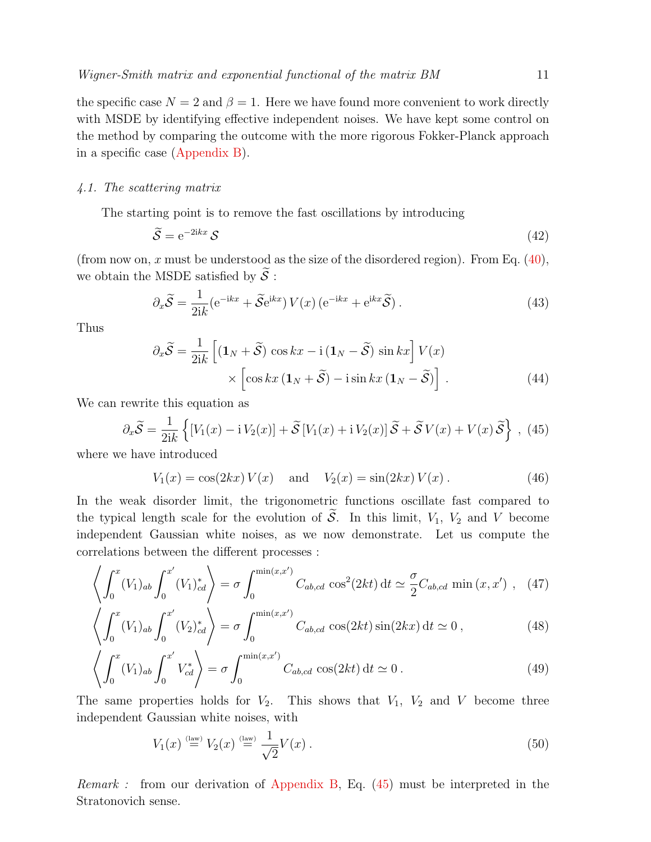# 4.1. The scattering matrix

The starting point is to remove the fast oscillations by introducing

$$
\widetilde{\mathcal{S}} = e^{-2ikx} \mathcal{S} \tag{42}
$$

(from now on, x must be understood as the size of the disordered region). From Eq.  $(40)$ , we obtain the MSDE satisfied by  $\widetilde{S}$ :

$$
\partial_x \widetilde{\mathcal{S}} = \frac{1}{2ik} \left( e^{-ikx} + \widetilde{\mathcal{S}} e^{ikx} \right) V(x) \left( e^{-ikx} + e^{ikx} \widetilde{\mathcal{S}} \right).
$$
 (43)

Thus

$$
\partial_x \widetilde{\mathcal{S}} = \frac{1}{2ik} \left[ (\mathbf{1}_N + \widetilde{\mathcal{S}}) \cos kx - i (\mathbf{1}_N - \widetilde{\mathcal{S}}) \sin kx \right] V(x)
$$
  
 
$$
\times \left[ \cos kx (\mathbf{1}_N + \widetilde{\mathcal{S}}) - i \sin kx (\mathbf{1}_N - \widetilde{\mathcal{S}}) \right].
$$
 (44)

We can rewrite this equation as

<span id="page-10-0"></span>
$$
\partial_x \widetilde{\mathcal{S}} = \frac{1}{2ik} \left\{ [V_1(x) - i V_2(x)] + \widetilde{\mathcal{S}} \left[ V_1(x) + i V_2(x) \right] \widetilde{\mathcal{S}} + \widetilde{\mathcal{S}} V(x) + V(x) \widetilde{\mathcal{S}} \right\}, (45)
$$

where we have introduced

$$
V_1(x) = \cos(2kx) V(x)
$$
 and  $V_2(x) = \sin(2kx) V(x)$ . (46)

In the weak disorder limit, the trigonometric functions oscillate fast compared to the typical length scale for the evolution of  $\widetilde{S}$ . In this limit,  $V_1$ ,  $V_2$  and V become independent Gaussian white noises, as we now demonstrate. Let us compute the correlations between the different processes :

$$
\left\langle \int_0^x (V_1)_{ab} \int_0^{x'} (V_1)_{cd}^* \right\rangle = \sigma \int_0^{\min(x,x')} C_{ab,cd} \cos^2(2kt) dt \simeq \frac{\sigma}{2} C_{ab,cd} \min(x,x') \ , \ (47)
$$

$$
\left\langle \int_0^x (V_1)_{ab} \int_0^{x'} (V_2)_{cd}^* \right\rangle = \sigma \int_0^{\min(x, x')} C_{ab, cd} \cos(2kt) \sin(2kx) dt \simeq 0 , \qquad (48)
$$

$$
\left\langle \int_0^x (V_1)_{ab} \int_0^{x'} V_{cd}^* \right\rangle = \sigma \int_0^{\min(x, x')} C_{ab, cd} \cos(2kt) dt \simeq 0. \tag{49}
$$

The same properties holds for  $V_2$ . This shows that  $V_1$ ,  $V_2$  and V become three independent Gaussian white noises, with

$$
V_1(x) \stackrel{\text{(law)}}{=} V_2(x) \stackrel{\text{(law)}}{=} \frac{1}{\sqrt{2}} V(x) \,. \tag{50}
$$

*Remark*: from our derivation of [Appendix B,](#page-25-0) Eq.  $(45)$  must be interpreted in the Stratonovich sense.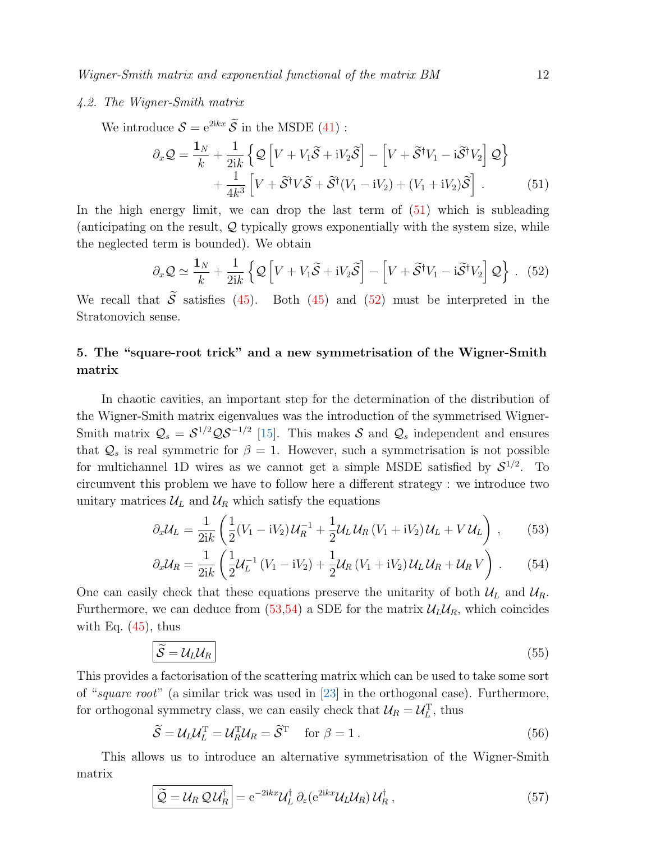# 4.2. The Wigner-Smith matrix

We introduce  $S = e^{2ikx} \widetilde{S}$  in the MSDE [\(41\)](#page-9-4) :

<span id="page-11-1"></span>
$$
\partial_x \mathcal{Q} = \frac{\mathbf{1}_N}{k} + \frac{1}{2ik} \left\{ \mathcal{Q} \left[ V + V_1 \widetilde{\mathcal{S}} + i V_2 \widetilde{\mathcal{S}} \right] - \left[ V + \widetilde{\mathcal{S}}^\dagger V_1 - i \widetilde{\mathcal{S}}^\dagger V_2 \right] \mathcal{Q} \right\} + \frac{1}{4k^3} \left[ V + \widetilde{\mathcal{S}}^\dagger V \widetilde{\mathcal{S}} + \widetilde{\mathcal{S}}^\dagger (V_1 - i V_2) + (V_1 + i V_2) \widetilde{\mathcal{S}} \right].
$$
(51)

In the high energy limit, we can drop the last term of [\(51\)](#page-11-1) which is subleading (anticipating on the result,  $Q$  typically grows exponentially with the system size, while the neglected term is bounded). We obtain

<span id="page-11-2"></span>
$$
\partial_x \mathcal{Q} \simeq \frac{\mathbf{1}_N}{k} + \frac{1}{2ik} \left\{ \mathcal{Q} \left[ V + V_1 \widetilde{\mathcal{S}} + i V_2 \widetilde{\mathcal{S}} \right] - \left[ V + \widetilde{\mathcal{S}}^\dagger V_1 - i \widetilde{\mathcal{S}}^\dagger V_2 \right] \mathcal{Q} \right\} . \tag{52}
$$

We recall that  $\tilde{S}$  satisfies [\(45\)](#page-10-0). Both (45) and [\(52\)](#page-11-2) must be interpreted in the Stratonovich sense.

# <span id="page-11-0"></span>5. The "square-root trick" and a new symmetrisation of the Wigner-Smith matrix

In chaotic cavities, an important step for the determination of the distribution of the Wigner-Smith matrix eigenvalues was the introduction of the symmetrised Wigner-Smith matrix  $\mathcal{Q}_s = \mathcal{S}^{1/2} \mathcal{Q} \mathcal{S}^{-1/2}$  [\[15\]](#page-27-14). This makes  $\mathcal{S}$  and  $\mathcal{Q}_s$  independent and ensures that  $\mathcal{Q}_s$  is real symmetric for  $\beta = 1$ . However, such a symmetrisation is not possible for multichannel 1D wires as we cannot get a simple MSDE satisfied by  $S^{1/2}$ . To circumvent this problem we have to follow here a different strategy : we introduce two unitary matrices  $\mathcal{U}_L$  and  $\mathcal{U}_R$  which satisfy the equations

<span id="page-11-3"></span>
$$
\partial_x \mathcal{U}_L = \frac{1}{2ik} \left( \frac{1}{2} (V_1 - iV_2) \mathcal{U}_R^{-1} + \frac{1}{2} \mathcal{U}_L \mathcal{U}_R (V_1 + iV_2) \mathcal{U}_L + V \mathcal{U}_L \right) , \qquad (53)
$$

$$
\partial_x \mathcal{U}_R = \frac{1}{2ik} \left( \frac{1}{2} \mathcal{U}_L^{-1} \left( V_1 - i V_2 \right) + \frac{1}{2} \mathcal{U}_R \left( V_1 + i V_2 \right) \mathcal{U}_L \mathcal{U}_R + \mathcal{U}_R V \right) . \tag{54}
$$

One can easily check that these equations preserve the unitarity of both  $\mathcal{U}_L$  and  $\mathcal{U}_R$ . Furthermore, we can deduce from  $(53,54)$  a SDE for the matrix  $\mathcal{U}_L \mathcal{U}_R$ , which coincides with Eq.  $(45)$ , thus

$$
\widetilde{S} = \mathcal{U}_L \mathcal{U}_R \tag{55}
$$

This provides a factorisation of the scattering matrix which can be used to take some sort of "square root" (a similar trick was used in [\[23\]](#page-28-1) in the orthogonal case). Furthermore, for orthogonal symmetry class, we can easily check that  $\mathcal{U}_R = \mathcal{U}_L^T$ , thus

$$
\widetilde{S} = \mathcal{U}_L \mathcal{U}_L^{\mathrm{T}} = \mathcal{U}_R^{\mathrm{T}} \mathcal{U}_R = \widetilde{S}^{\mathrm{T}} \quad \text{for } \beta = 1 \,.
$$

This allows us to introduce an alternative symmetrisation of the Wigner-Smith matrix

$$
\left[\widetilde{\mathcal{Q}} = \mathcal{U}_R \mathcal{Q} \mathcal{U}_R^{\dagger}\right] = e^{-2ikx} \mathcal{U}_L^{\dagger} \partial_{\varepsilon} (e^{2ikx} \mathcal{U}_L \mathcal{U}_R) \mathcal{U}_R^{\dagger}, \qquad (57)
$$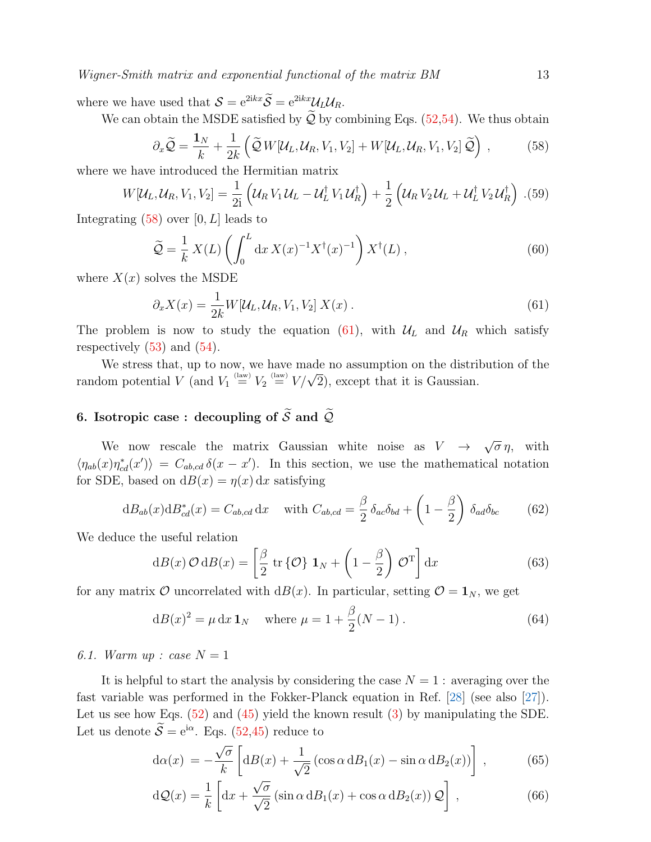where we have used that  $S = e^{2ikx}\widetilde{S} = e^{2ikx}U_LU_R$ .

We can obtain the MSDE satisfied by  $\tilde{Q}$  by combining Eqs. [\(52,](#page-11-2)[54\)](#page-11-3). We thus obtain

<span id="page-12-1"></span>
$$
\partial_x \widetilde{Q} = \frac{\mathbf{1}_N}{k} + \frac{1}{2k} \left( \widetilde{Q} W[\mathcal{U}_L, \mathcal{U}_R, V_1, V_2] + W[\mathcal{U}_L, \mathcal{U}_R, V_1, V_2] \widetilde{Q} \right) , \tag{58}
$$

where we have introduced the Hermitian matrix

<span id="page-12-4"></span>
$$
W[\mathcal{U}_L, \mathcal{U}_R, V_1, V_2] = \frac{1}{2i} \left( \mathcal{U}_R V_1 \mathcal{U}_L - \mathcal{U}_L^{\dagger} V_1 \mathcal{U}_R^{\dagger} \right) + \frac{1}{2} \left( \mathcal{U}_R V_2 \mathcal{U}_L + \mathcal{U}_L^{\dagger} V_2 \mathcal{U}_R^{\dagger} \right) . (59)
$$

Integrating  $(58)$  over  $[0, L]$  leads to

<span id="page-12-3"></span>
$$
\widetilde{Q} = \frac{1}{k} X(L) \left( \int_0^L dx \, X(x)^{-1} X^\dagger(x)^{-1} \right) X^\dagger(L) \,, \tag{60}
$$

where  $X(x)$  solves the MSDE

<span id="page-12-2"></span>
$$
\partial_x X(x) = \frac{1}{2k} W[\mathcal{U}_L, \mathcal{U}_R, V_1, V_2] X(x) . \tag{61}
$$

The problem is now to study the equation [\(61\)](#page-12-2), with  $U_L$  and  $U_R$  which satisfy respectively  $(53)$  and  $(54)$ .

We stress that, up to now, we have made no assumption on the distribution of the we stress that, up to how, we have made no assumption on the distribution potential V (and  $V_1 \stackrel{\text{(law)}}{=} V_2 \stackrel{\text{(law)}}{=} V/\sqrt{2}$ ), except that it is Gaussian.

# <span id="page-12-0"></span>6. Isotropic case : decoupling of  $\widetilde{S}$  and  $\widetilde{Q}$

We now rescale the matrix Gaussian white noise as  $V \rightarrow$ √  $\overline{\sigma}\eta$ , with  $\langle \eta_{ab}(x)\eta_{cd}^*(x')\rangle = C_{ab,cd} \delta(x-x')$ . In this section, we use the mathematical notation for SDE, based on  $dB(x) = \eta(x) dx$  satisfying

<span id="page-12-5"></span>
$$
dB_{ab}(x)dB_{cd}^*(x) = C_{ab,cd} dx \quad \text{with } C_{ab,cd} = \frac{\beta}{2} \delta_{ac} \delta_{bd} + \left(1 - \frac{\beta}{2}\right) \delta_{ad} \delta_{bc} \tag{62}
$$

We deduce the useful relation

<span id="page-12-7"></span>
$$
dB(x)\mathcal{O} dB(x) = \left[\frac{\beta}{2} \operatorname{tr} \{\mathcal{O}\} \mathbf{1}_N + \left(1 - \frac{\beta}{2}\right) \mathcal{O}^{\mathrm{T}}\right] dx \tag{63}
$$

for any matrix  $\mathcal O$  uncorrelated with  $dB(x)$ . In particular, setting  $\mathcal O = \mathbf 1_N$ , we get

<span id="page-12-6"></span>
$$
dB(x)^{2} = \mu dx \, 1_{N} \quad \text{where } \mu = 1 + \frac{\beta}{2}(N - 1) \,. \tag{64}
$$

# 6.1. Warm up : case  $N = 1$

It is helpful to start the analysis by considering the case  $N = 1$  : averaging over the fast variable was performed in the Fokker-Planck equation in Ref. [\[28\]](#page-28-6) (see also [\[27\]](#page-28-5)). Let us see how Eqs.  $(52)$  and  $(45)$  yield the known result  $(3)$  by manipulating the SDE. Let us denote  $\tilde{S} = e^{i\alpha}$ . Eqs. [\(52,](#page-11-2)[45\)](#page-10-0) reduce to

$$
d\alpha(x) = -\frac{\sqrt{\sigma}}{k} \left[ dB(x) + \frac{1}{\sqrt{2}} \left( \cos \alpha \, dB_1(x) - \sin \alpha \, dB_2(x) \right) \right],\tag{65}
$$

$$
dQ(x) = \frac{1}{k} \left[ dx + \frac{\sqrt{\sigma}}{\sqrt{2}} \left( \sin \alpha \, dB_1(x) + \cos \alpha \, dB_2(x) \right) Q \right],
$$
 (66)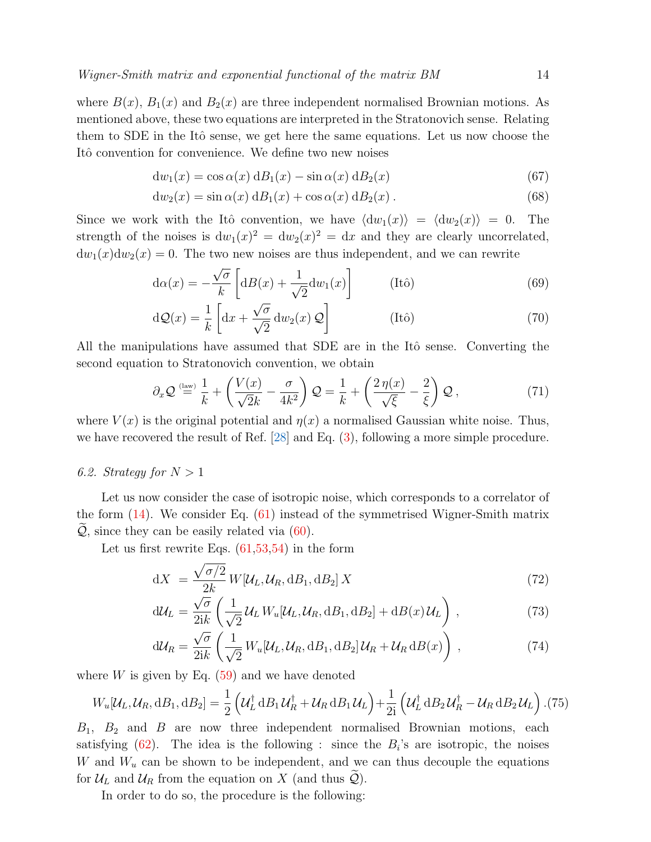where  $B(x)$ ,  $B_1(x)$  and  $B_2(x)$  are three independent normalised Brownian motions. As mentioned above, these two equations are interpreted in the Stratonovich sense. Relating them to SDE in the Itô sense, we get here the same equations. Let us now choose the Itô convention for convenience. We define two new noises

$$
dw_1(x) = \cos \alpha(x) dB_1(x) - \sin \alpha(x) dB_2(x)
$$
\n(67)

$$
dw_2(x) = \sin \alpha(x) dB_1(x) + \cos \alpha(x) dB_2(x).
$$
 (68)

Since we work with the Itô convention, we have  $\langle dw_1(x)\rangle = \langle dw_2(x)\rangle = 0$ . The strength of the noises is  $dw_1(x)^2 = dw_2(x)^2 = dx$  and they are clearly uncorrelated,  $dw_1(x)dw_2(x) = 0$ . The two new noises are thus independent, and we can rewrite

$$
d\alpha(x) = -\frac{\sqrt{\sigma}}{k} \left[ d(t)\right] + \frac{1}{\sqrt{2}} dw_1(x) \right]
$$
 (Itô) (69)

$$
d\mathcal{Q}(x) = \frac{1}{k} \left[ dx + \frac{\sqrt{\sigma}}{\sqrt{2}} dw_2(x) \mathcal{Q} \right]
$$
 (Itô) (70)

All the manipulations have assumed that SDE are in the Itô sense. Converting the second equation to Stratonovich convention, we obtain

$$
\partial_x \mathcal{Q} \stackrel{\text{(law)}}{=} \frac{1}{k} + \left(\frac{V(x)}{\sqrt{2}k} - \frac{\sigma}{4k^2}\right) \mathcal{Q} = \frac{1}{k} + \left(\frac{2\,\eta(x)}{\sqrt{\xi}} - \frac{2}{\xi}\right) \mathcal{Q} \,,\tag{71}
$$

where  $V(x)$  is the original potential and  $\eta(x)$  a normalised Gaussian white noise. Thus, we have recovered the result of Ref. [\[28\]](#page-28-6) and Eq. [\(3\)](#page-2-1), following a more simple procedure.

# 6.2. Strategy for  $N > 1$

Let us now consider the case of isotropic noise, which corresponds to a correlator of the form [\(14\)](#page-4-1). We consider Eq. [\(61\)](#page-12-2) instead of the symmetrised Wigner-Smith matrix  $\mathcal{Q}$ , since they can be easily related via  $(60)$ .

Let us first rewrite Eqs.  $(61,53,54)$  $(61,53,54)$  in the form

<span id="page-13-0"></span>
$$
dX = \frac{\sqrt{\sigma/2}}{2k} W[\mathcal{U}_L, \mathcal{U}_R, dB_1, dB_2] X
$$
\n(72)

$$
d\mathcal{U}_L = \frac{\sqrt{\sigma}}{2ik} \left( \frac{1}{\sqrt{2}} \mathcal{U}_L W_u[\mathcal{U}_L, \mathcal{U}_R, dB_1, dB_2] + dB(x) \mathcal{U}_L \right), \qquad (73)
$$

<span id="page-13-1"></span>
$$
d\mathcal{U}_R = \frac{\sqrt{\sigma}}{2ik} \left( \frac{1}{\sqrt{2}} W_u[\mathcal{U}_L, \mathcal{U}_R, dB_1, dB_2] \mathcal{U}_R + \mathcal{U}_R dB(x) \right), \qquad (74)
$$

where  $W$  is given by Eq.  $(59)$  and we have denoted

$$
W_u[\mathcal{U}_L, \mathcal{U}_R, dB_1, dB_2] = \frac{1}{2} \left( \mathcal{U}_L^{\dagger} dB_1 \mathcal{U}_R^{\dagger} + \mathcal{U}_R dB_1 \mathcal{U}_L \right) + \frac{1}{2i} \left( \mathcal{U}_L^{\dagger} dB_2 \mathcal{U}_R^{\dagger} - \mathcal{U}_R dB_2 \mathcal{U}_L \right). (75)
$$

 $B_1$ ,  $B_2$  and B are now three independent normalised Brownian motions, each satisfying  $(62)$ . The idea is the following : since the  $B_i$ 's are isotropic, the noises W and  $W_u$  can be shown to be independent, and we can thus decouple the equations for  $\mathcal{U}_L$  and  $\mathcal{U}_R$  from the equation on X (and thus  $\mathcal{Q}$ ).

In order to do so, the procedure is the following: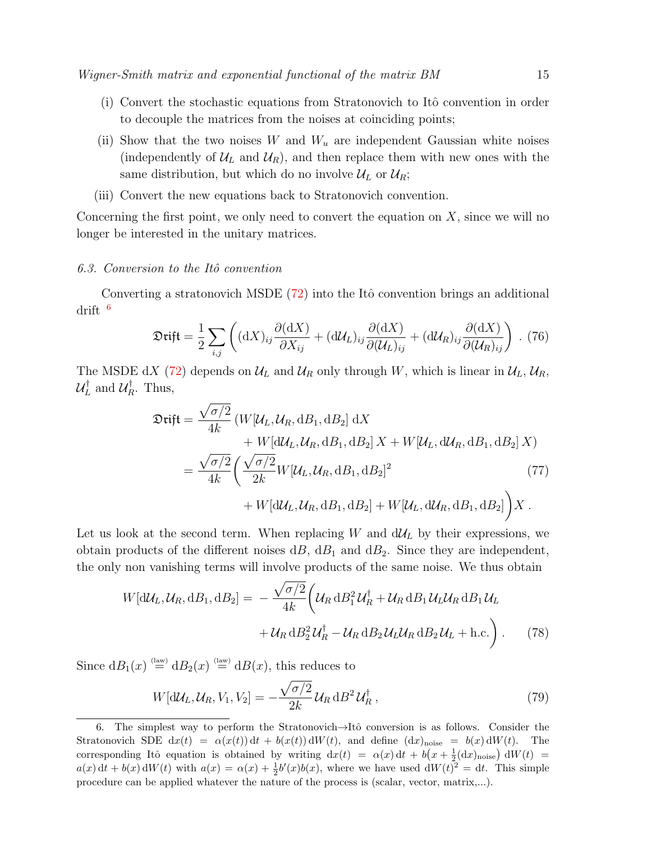- $(i)$  Convert the stochastic equations from Stratonovich to Itô convention in order to decouple the matrices from the noises at coinciding points;
- (ii) Show that the two noises W and  $W_u$  are independent Gaussian white noises (independently of  $\mathcal{U}_L$  and  $\mathcal{U}_R$ ), and then replace them with new ones with the same distribution, but which do no involve  $\mathcal{U}_L$  or  $\mathcal{U}_R$ ;
- (iii) Convert the new equations back to Stratonovich convention.

Concerning the first point, we only need to convert the equation on  $X$ , since we will no longer be interested in the unitary matrices.

#### 6.3. Conversion to the Itô convention

Converting a stratonovich MSDE  $(72)$  into the Itô convention brings an additional drift [6](#page-14-0)

$$
\mathfrak{Diff} = \frac{1}{2} \sum_{i,j} \left( (dX)_{ij} \frac{\partial (dX)}{\partial X_{ij}} + (d\mathcal{U}_L)_{ij} \frac{\partial (dX)}{\partial (\mathcal{U}_L)_{ij}} + (d\mathcal{U}_R)_{ij} \frac{\partial (dX)}{\partial (\mathcal{U}_R)_{ij}} \right) . (76)
$$

The MSDE dX [\(72\)](#page-13-0) depends on  $\mathcal{U}_L$  and  $\mathcal{U}_R$  only through W, which is linear in  $\mathcal{U}_L$ ,  $\mathcal{U}_R$ ,  $\mathcal{U}_L^\dagger$  $\mathcal{U}_L^\dagger$  and  $\mathcal{U}_R^\dagger$  $n_R^{\dagger}$ . Thus,

$$
\mathfrak{Dirif} = \frac{\sqrt{\sigma/2}}{4k} \left( W[\mathcal{U}_L, \mathcal{U}_R, dB_1, dB_2] \, dX \n+ W[d\mathcal{U}_L, \mathcal{U}_R, dB_1, dB_2] \, X + W[\mathcal{U}_L, d\mathcal{U}_R, dB_1, dB_2] \, X \right) \n= \frac{\sqrt{\sigma/2}}{4k} \left( \frac{\sqrt{\sigma/2}}{2k} W[\mathcal{U}_L, \mathcal{U}_R, dB_1, dB_2]^2 \right) \n+ W[d\mathcal{U}_L, \mathcal{U}_R, dB_1, dB_2] + W[\mathcal{U}_L, d\mathcal{U}_R, dB_1, dB_2] \right) X.
$$
\n(77)

Let us look at the second term. When replacing W and  $d\mathcal{U}_L$  by their expressions, we obtain products of the different noises  $dB$ ,  $dB_1$  and  $dB_2$ . Since they are independent, the only non vanishing terms will involve products of the same noise. We thus obtain

$$
W[\mathrm{d}\mathcal{U}_L, \mathcal{U}_R, \mathrm{d}B_1, \mathrm{d}B_2] = -\frac{\sqrt{\sigma/2}}{4k} \left( \mathcal{U}_R \, \mathrm{d}B_1^2 \mathcal{U}_R^\dagger + \mathcal{U}_R \, \mathrm{d}B_1 \mathcal{U}_L \mathcal{U}_R \, \mathrm{d}B_1 \mathcal{U}_L + \mathcal{U}_R \, \mathrm{d}B_2^2 \mathcal{U}_R^\dagger - \mathcal{U}_R \, \mathrm{d}B_2 \mathcal{U}_L \mathcal{U}_R \, \mathrm{d}B_2 \mathcal{U}_L + \text{h.c.} \right). \tag{78}
$$

Since  $dB_1(x) \stackrel{\text{(law)}}{=} dB_2(x) \stackrel{\text{(law)}}{=} dB(x)$ , this reduces to

$$
W[\mathrm{d}\mathcal{U}_L, \mathcal{U}_R, V_1, V_2] = -\frac{\sqrt{\sigma/2}}{2k} \mathcal{U}_R \, \mathrm{d}B^2 \, \mathcal{U}_R^\dagger \,, \tag{79}
$$

<span id="page-14-0"></span><sup>6.</sup> The simplest way to perform the Stratonovich $\rightarrow$ Itô conversion is as follows. Consider the Stratonovich SDE  $dx(t) = \alpha(x(t)) dt + b(x(t)) dW(t)$ , and define  $(dx)_{noise} = b(x) dW(t)$ . The corresponding Itô equation is obtained by writing  $dx(t) = \alpha(x) dt + b(x + \frac{1}{2}(dx)_{noise}) dW(t) =$  $a(x) dt + b(x) dW(t)$  with  $a(x) = \alpha(x) + \frac{1}{2}b'(x)b(x)$ , where we have used  $dW(t)^2 = dt$ . This simple procedure can be applied whatever the nature of the process is (scalar, vector, matrix,...).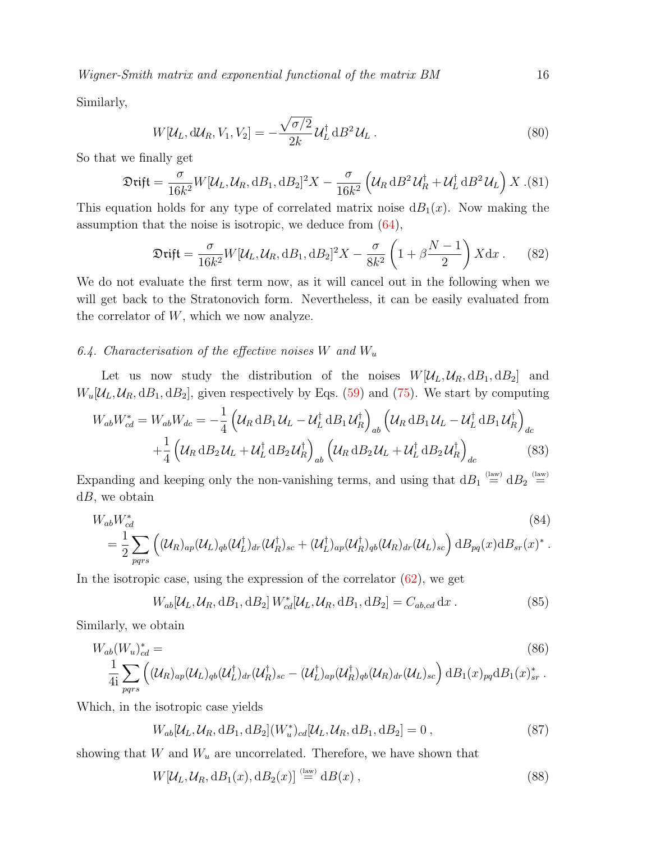Similarly,

$$
W[\mathcal{U}_L, d\mathcal{U}_R, V_1, V_2] = -\frac{\sqrt{\sigma/2}}{2k} \mathcal{U}_L^{\dagger} dB^2 \mathcal{U}_L.
$$
\n(80)

So that we finally get

$$
\mathfrak{Diff} = \frac{\sigma}{16k^2} W[\mathcal{U}_L, \mathcal{U}_R, dB_1, dB_2]^2 X - \frac{\sigma}{16k^2} \left( \mathcal{U}_R dB^2 \mathcal{U}_R^\dagger + \mathcal{U}_L^\dagger dB^2 \mathcal{U}_L \right) X \tag{81}
$$

This equation holds for any type of correlated matrix noise  $dB_1(x)$ . Now making the assumption that the noise is isotropic, we deduce from [\(64\)](#page-12-6),

<span id="page-15-0"></span>
$$
\mathfrak{Diff} = \frac{\sigma}{16k^2} W[\mathcal{U}_L, \mathcal{U}_R, dB_1, dB_2]^2 X - \frac{\sigma}{8k^2} \left(1 + \beta \frac{N-1}{2}\right) X dx. \tag{82}
$$

We do not evaluate the first term now, as it will cancel out in the following when we will get back to the Stratonovich form. Nevertheless, it can be easily evaluated from the correlator of  $W$ , which we now analyze.

# 6.4. Characterisation of the effective noises W and  $W_u$

Let us now study the distribution of the noises  $W[\mathcal{U}_L, \mathcal{U}_R, dB_1, dB_2]$  and  $W_u[\mathcal{U}_L, \mathcal{U}_R, dB_1, dB_2]$ , given respectively by Eqs. [\(59\)](#page-12-4) and [\(75\)](#page-13-1). We start by computing

$$
W_{ab}W_{cd}^* = W_{ab}W_{dc} = -\frac{1}{4} \left( \mathcal{U}_R \, \mathrm{d}B_1 \, \mathcal{U}_L - \mathcal{U}_L^\dagger \, \mathrm{d}B_1 \, \mathcal{U}_R^\dagger \right)_{ab} \left( \mathcal{U}_R \, \mathrm{d}B_1 \, \mathcal{U}_L - \mathcal{U}_L^\dagger \, \mathrm{d}B_1 \, \mathcal{U}_R^\dagger \right)_{dc} +\frac{1}{4} \left( \mathcal{U}_R \, \mathrm{d}B_2 \, \mathcal{U}_L + \mathcal{U}_L^\dagger \, \mathrm{d}B_2 \, \mathcal{U}_R^\dagger \right)_{ab} \left( \mathcal{U}_R \, \mathrm{d}B_2 \, \mathcal{U}_L + \mathcal{U}_L^\dagger \, \mathrm{d}B_2 \, \mathcal{U}_R^\dagger \right)_{dc}
$$
(83)

Expanding and keeping only the non-vanishing terms, and using that  $dB_1 \stackrel{\text{(law)}}{=} dB_2 \stackrel{\text{(law)}}{=}$  $dB$ , we obtain

$$
W_{ab}W_{cd}^*
$$
\n
$$
= \frac{1}{2} \sum_{pqrs} \left( (\mathcal{U}_R)_{ap} (\mathcal{U}_L)_{qb} (\mathcal{U}_L^\dagger)_{dr} (\mathcal{U}_R^\dagger)_{sc} + (\mathcal{U}_L^\dagger)_{ap} (\mathcal{U}_R)_{qb} (\mathcal{U}_R)_{dr} (\mathcal{U}_L)_{sc} \right) dB_{pq}(x) dB_{sr}(x)^*.
$$
\n
$$
(84)
$$

In the isotropic case, using the expression of the correlator  $(62)$ , we get

$$
W_{ab}[\mathcal{U}_L, \mathcal{U}_R, dB_1, dB_2] W_{cd}^*[\mathcal{U}_L, \mathcal{U}_R, dB_1, dB_2] = C_{ab,cd} dx.
$$
 (85)

Similarly, we obtain

$$
W_{ab}(W_u)_{cd}^* =
$$
\n
$$
\frac{1}{4i} \sum_{pqrs} \left( (\mathcal{U}_R)_{ap} (\mathcal{U}_L)_{qb} (\mathcal{U}_L^\dagger)_{dr} (\mathcal{U}_R^\dagger)_{sc} - (\mathcal{U}_L^\dagger)_{ap} (\mathcal{U}_R)_{qb} (\mathcal{U}_R)_{dr} (\mathcal{U}_L)_{sc} \right) \mathrm{d}B_1(x)_{pq} \mathrm{d}B_1(x)_{sr}^*.
$$
\n(86)

Which, in the isotropic case yields

$$
W_{ab}[\mathcal{U}_L, \mathcal{U}_R, dB_1, dB_2](W_u^*)_{cd}[\mathcal{U}_L, \mathcal{U}_R, dB_1, dB_2] = 0,
$$
\n(87)

showing that W and  $W_u$  are uncorrelated. Therefore, we have shown that

$$
W[\mathcal{U}_L, \mathcal{U}_R, dB_1(x), dB_2(x)] \stackrel{\text{(law)}}{=} dB(x) , \qquad (88)
$$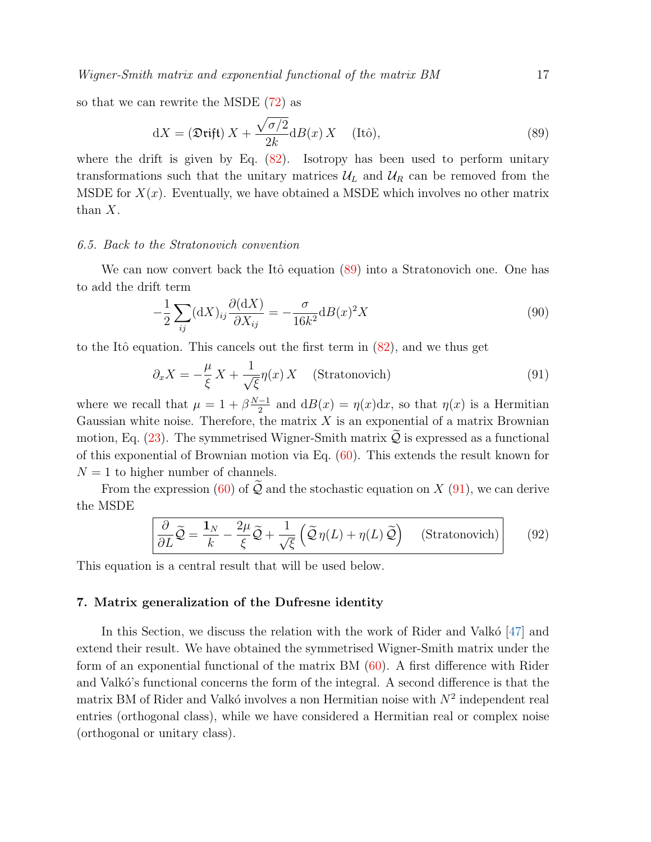so that we can rewrite the MSDE [\(72\)](#page-13-0) as

<span id="page-16-1"></span>
$$
dX = (\mathfrak{Dirift}) X + \frac{\sqrt{\sigma/2}}{2k} dB(x) X \quad \text{(Itô)},\tag{89}
$$

where the drift is given by Eq. [\(82\)](#page-15-0). Isotropy has been used to perform unitary transformations such that the unitary matrices  $\mathcal{U}_L$  and  $\mathcal{U}_R$  can be removed from the MSDE for  $X(x)$ . Eventually, we have obtained a MSDE which involves no other matrix than X.

# 6.5. Back to the Stratonovich convention

We can now convert back the Itô equation [\(89\)](#page-16-1) into a Stratonovich one. One has to add the drift term

$$
-\frac{1}{2}\sum_{ij}(\mathrm{d}X)_{ij}\frac{\partial(\mathrm{d}X)}{\partial X_{ij}} = -\frac{\sigma}{16k^2}\mathrm{d}B(x)^2X\tag{90}
$$

to the Itô equation. This cancels out the first term in  $(82)$ , and we thus get

<span id="page-16-2"></span>
$$
\partial_x X = -\frac{\mu}{\xi} X + \frac{1}{\sqrt{\xi}} \eta(x) X \quad \text{(Stratonovich)} \tag{91}
$$

where we recall that  $\mu = 1 + \beta \frac{N-1}{2}$  $\frac{-1}{2}$  and  $dB(x) = \eta(x)dx$ , so that  $\eta(x)$  is a Hermitian Gaussian white noise. Therefore, the matrix  $X$  is an exponential of a matrix Brownian motion, Eq.  $(23)$ . The symmetrised Wigner-Smith matrix  $\mathcal Q$  is expressed as a functional of this exponential of Brownian motion via Eq. [\(60\)](#page-12-3). This extends the result known for  $N = 1$  to higher number of channels.

From the expression [\(60\)](#page-12-3) of  $\widetilde{Q}$  and the stochastic equation on X [\(91\)](#page-16-2), we can derive the MSDE

<span id="page-16-3"></span>
$$
\frac{\partial}{\partial L}\widetilde{Q} = \frac{\mathbf{1}_N}{k} - \frac{2\mu}{\xi}\widetilde{Q} + \frac{1}{\sqrt{\xi}}\left(\widetilde{Q}\eta(L) + \eta(L)\widetilde{Q}\right) \quad \text{(Stratonovich)}\tag{92}
$$

This equation is a central result that will be used below.

# <span id="page-16-0"></span>7. Matrix generalization of the Dufresne identity

In this Section, we discuss the relation with the work of Rider and Valko $[47]$  and extend their result. We have obtained the symmetrised Wigner-Smith matrix under the form of an exponential functional of the matrix BM [\(60\)](#page-12-3). A first difference with Rider and Valkó's functional concerns the form of the integral. A second difference is that the matrix BM of Rider and Valkó involves a non Hermitian noise with  $N^2$  independent real entries (orthogonal class), while we have considered a Hermitian real or complex noise (orthogonal or unitary class).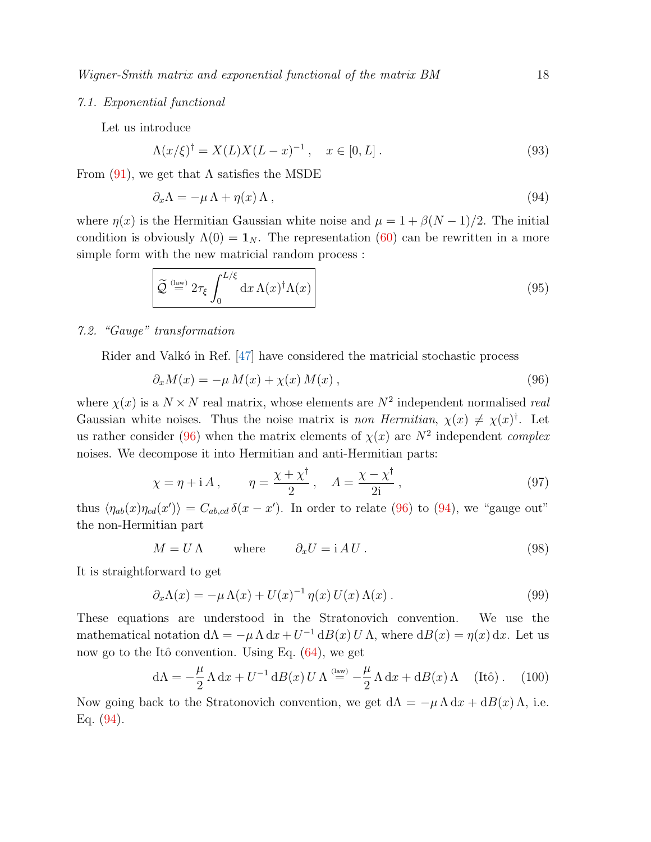## 7.1. Exponential functional

Let us introduce

$$
\Lambda(x/\xi)^{\dagger} = X(L)X(L-x)^{-1}, \quad x \in [0, L]. \tag{93}
$$

From  $(91)$ , we get that  $\Lambda$  satisfies the MSDE

<span id="page-17-1"></span>
$$
\partial_x \Lambda = -\mu \Lambda + \eta(x) \Lambda \,, \tag{94}
$$

where  $\eta(x)$  is the Hermitian Gaussian white noise and  $\mu = 1 + \beta(N-1)/2$ . The initial condition is obviously  $\Lambda(0) = \mathbf{1}_N$ . The representation [\(60\)](#page-12-3) can be rewritten in a more simple form with the new matricial random process :

<span id="page-17-2"></span>
$$
\widetilde{\mathcal{Q}} \stackrel{\text{(law)}}{=} 2\tau_{\xi} \int_0^{L/\xi} dx \,\Lambda(x)^\dagger \Lambda(x) \tag{95}
$$

# 7.2. "Gauge" transformation

Rider and Valkó in Ref.  $[47]$  have considered the matricial stochastic process

<span id="page-17-0"></span>
$$
\partial_x M(x) = -\mu M(x) + \chi(x) M(x) , \qquad (96)
$$

where  $\chi(x)$  is a  $N \times N$  real matrix, whose elements are  $N^2$  independent normalised real Gaussian white noises. Thus the noise matrix is non Hermitian,  $\chi(x) \neq \chi(x)$ <sup>†</sup>. Let us rather consider [\(96\)](#page-17-0) when the matrix elements of  $\chi(x)$  are  $N^2$  independent *complex* noises. We decompose it into Hermitian and anti-Hermitian parts:

$$
\chi = \eta + iA, \qquad \eta = \frac{\chi + \chi^{\dagger}}{2}, \quad A = \frac{\chi - \chi^{\dagger}}{2i}, \tag{97}
$$

thus  $\langle \eta_{ab}(x)\eta_{cd}(x')\rangle = C_{ab,cd} \delta(x-x')$ . In order to relate [\(96\)](#page-17-0) to [\(94\)](#page-17-1), we "gauge out" the non-Hermitian part

$$
M = U \Lambda \qquad \text{where} \qquad \partial_x U = i \Lambda U. \tag{98}
$$

It is straightforward to get

$$
\partial_x \Lambda(x) = -\mu \Lambda(x) + U(x)^{-1} \eta(x) U(x) \Lambda(x) . \qquad (99)
$$

These equations are understood in the Stratonovich convention. We use the mathematical notation  $d\Lambda = -\mu \Lambda dx + U^{-1} dB(x) U \Lambda$ , where  $dB(x) = \eta(x) dx$ . Let us now go to the Itô convention. Using Eq.  $(64)$ , we get

$$
d\Lambda = -\frac{\mu}{2} \Lambda dx + U^{-1} dB(x) U \Lambda \stackrel{\text{(law)}}{=} -\frac{\mu}{2} \Lambda dx + dB(x) \Lambda \quad \text{(Itô)}\,. \tag{100}
$$

Now going back to the Stratonovich convention, we get  $d\Lambda = -\mu \Lambda dx + dB(x) \Lambda$ , i.e. Eq. [\(94\)](#page-17-1).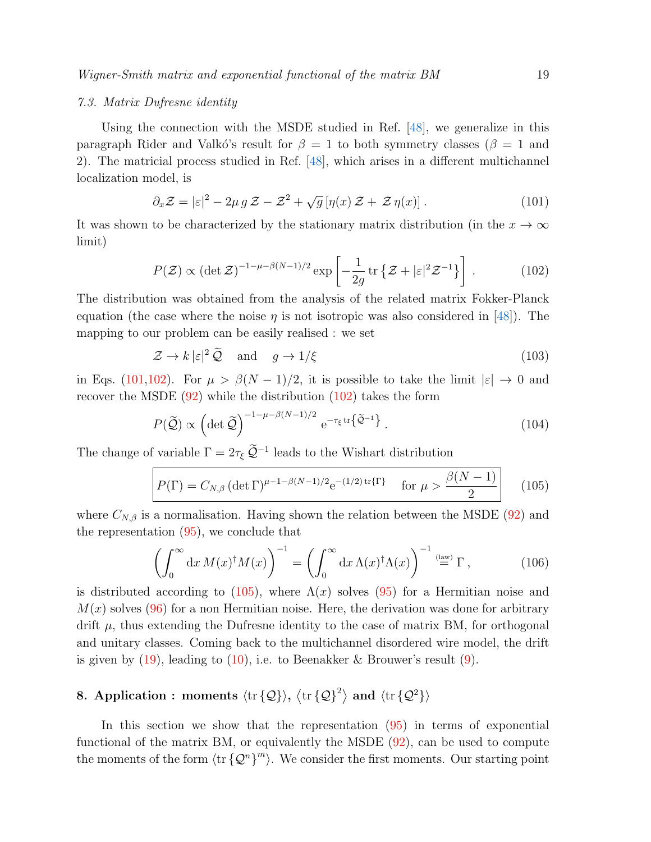### 7.3. Matrix Dufresne identity

Using the connection with the MSDE studied in Ref. [\[48\]](#page-29-8), we generalize in this paragraph Rider and Valkó's result for  $\beta = 1$  to both symmetry classes ( $\beta = 1$  and 2). The matricial process studied in Ref. [\[48\]](#page-29-8), which arises in a different multichannel localization model, is

<span id="page-18-1"></span>
$$
\partial_x \mathcal{Z} = |\varepsilon|^2 - 2\mu g \mathcal{Z} - \mathcal{Z}^2 + \sqrt{g} \left[ \eta(x) \mathcal{Z} + \mathcal{Z} \eta(x) \right]. \tag{101}
$$

It was shown to be characterized by the stationary matrix distribution (in the  $x \to \infty$ limit)

<span id="page-18-2"></span>
$$
P(\mathcal{Z}) \propto (\det \mathcal{Z})^{-1-\mu-\beta(N-1)/2} \exp\left[-\frac{1}{2g} \operatorname{tr}\left\{\mathcal{Z}+|\varepsilon|^2 \mathcal{Z}^{-1}\right\}\right].
$$
 (102)

The distribution was obtained from the analysis of the related matrix Fokker-Planck equation (the case where the noise  $\eta$  is not isotropic was also considered in [\[48\]](#page-29-8)). The mapping to our problem can be easily realised : we set

$$
\mathcal{Z} \to k \, |\varepsilon|^2 \, \widetilde{\mathcal{Q}} \quad \text{and} \quad g \to 1/\xi \tag{103}
$$

in Eqs. [\(101,](#page-18-1)[102\)](#page-18-2). For  $\mu > \beta(N-1)/2$ , it is possible to take the limit  $|\varepsilon| \to 0$  and recover the MSDE [\(92\)](#page-16-3) while the distribution [\(102\)](#page-18-2) takes the form

$$
P(\widetilde{\mathcal{Q}}) \propto \left( \det \widetilde{\mathcal{Q}} \right)^{-1 - \mu - \beta(N-1)/2} e^{-\tau_{\xi} \operatorname{tr} \left\{ \widetilde{\mathcal{Q}}^{-1} \right\}}.
$$
 (104)

The change of variable  $\Gamma = 2\tau_{\xi} \tilde{\mathcal{Q}}^{-1}$  leads to the Wishart distribution

<span id="page-18-3"></span>
$$
P(\Gamma) = C_{N,\beta} \left( \det \Gamma \right)^{\mu - 1 - \beta(N-1)/2} e^{-(1/2) \operatorname{tr} \{ \Gamma \}} \quad \text{for } \mu > \frac{\beta(N-1)}{2} \tag{105}
$$

where  $C_{N,\beta}$  is a normalisation. Having shown the relation between the MSDE [\(92\)](#page-16-3) and the representation [\(95\)](#page-17-2), we conclude that

$$
\left(\int_0^\infty dx \, M(x)^\dagger M(x)\right)^{-1} = \left(\int_0^\infty dx \, \Lambda(x)^\dagger \Lambda(x)\right)^{-1} \stackrel{\text{(law)}}{=} \Gamma\,,\tag{106}
$$

is distributed according to [\(105\)](#page-18-3), where  $\Lambda(x)$  solves [\(95\)](#page-17-2) for a Hermitian noise and  $M(x)$  solves [\(96\)](#page-17-0) for a non Hermitian noise. Here, the derivation was done for arbitrary drift  $\mu$ , thus extending the Dufresne identity to the case of matrix BM, for orthogonal and unitary classes. Coming back to the multichannel disordered wire model, the drift is given by  $(19)$ , leading to  $(10)$ , i.e. to Beenakker & Brouwer's result  $(9)$ .

# <span id="page-18-0"></span>8. Application : moments  $\langle \text{tr} {\{\mathcal{Q}\}} \rangle$ ,  $\langle \text{tr} {\{\mathcal{Q}\}}^2 \rangle$  and  $\langle \text{tr} {\{\mathcal{Q}^2\}} \rangle$

In this section we show that the representation [\(95\)](#page-17-2) in terms of exponential functional of the matrix BM, or equivalently the MSDE [\(92\)](#page-16-3), can be used to compute the moments of the form  $\langle \text{tr} \{ \mathcal{Q}^n \}^m \rangle$ . We consider the first moments. Our starting point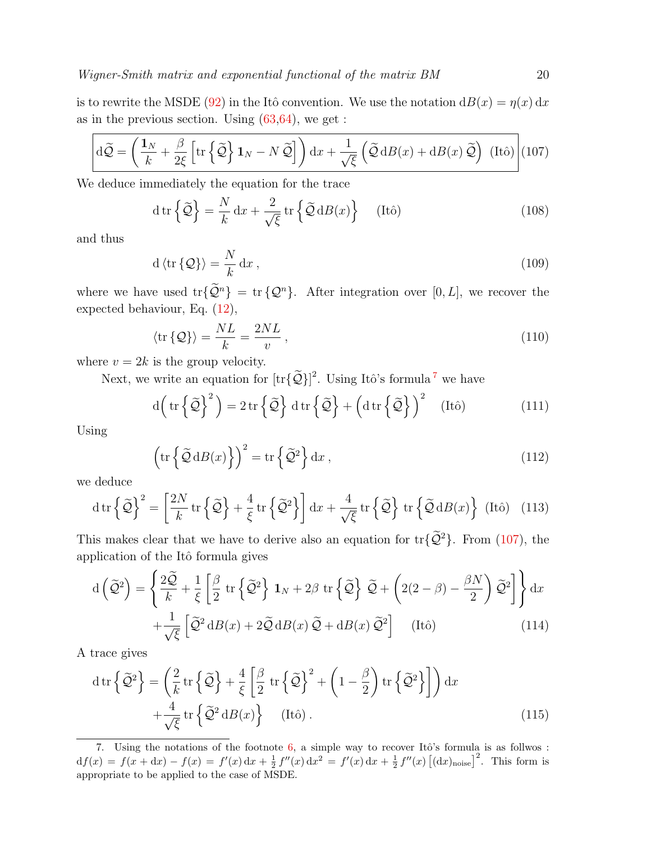is to rewrite the MSDE [\(92\)](#page-16-3) in the Itô convention. We use the notation  $dB(x) = \eta(x) dx$ as in the previous section. Using  $(63,64)$  $(63,64)$ , we get :

$$
d\widetilde{Q} = \left(\frac{\mathbf{1}_N}{k} + \frac{\beta}{2\xi} \left[ \text{tr}\left\{ \widetilde{Q} \right\} \mathbf{1}_N - N \widetilde{Q} \right] \right) dx + \frac{1}{\sqrt{\xi}} \left( \widetilde{Q} dB(x) + dB(x) \widetilde{Q} \right) \text{ (Itô)} \tag{107}
$$

We deduce immediately the equation for the trace

<span id="page-19-1"></span>
$$
d\operatorname{tr}\left\{\widetilde{\mathcal{Q}}\right\} = \frac{N}{k} dx + \frac{2}{\sqrt{\xi}} \operatorname{tr}\left\{\widetilde{\mathcal{Q}} dB(x)\right\} \quad \text{(Itô)}\tag{108}
$$

and thus

$$
d \langle tr \{ \mathcal{Q} \} \rangle = \frac{N}{k} dx , \qquad (109)
$$

where we have used  $\text{tr}\{\widetilde{\mathcal{Q}}^n\} = \text{tr}\{\mathcal{Q}^n\}$ . After integration over [0, L], we recover the expected behaviour, Eq. [\(12\)](#page-3-3),

$$
\langle \text{tr}\{\mathcal{Q}\}\rangle = \frac{NL}{k} = \frac{2NL}{v},\tag{110}
$$

where  $v = 2k$  is the group velocity.

Next, we write an equation for  $[\text{tr}\{\tilde{\mathcal{Q}}\}]^2$ . Using Itô's formula<sup>[7](#page-19-0)</sup> we have

$$
d\left(tr\left\{\tilde{\mathcal{Q}}\right\}^2\right) = 2\operatorname{tr}\left\{\tilde{\mathcal{Q}}\right\} d\operatorname{tr}\left\{\tilde{\mathcal{Q}}\right\} + \left(dtr\left\{\tilde{\mathcal{Q}}\right\}\right)^2 \quad \text{(Itô)}\tag{111}
$$

Using

<span id="page-19-2"></span>
$$
\left(\operatorname{tr}\left\{\widetilde{\mathcal{Q}}\,\mathrm{d}B(x)\right\}\right)^2 = \operatorname{tr}\left\{\widetilde{\mathcal{Q}}^2\right\}\mathrm{d}x\,,\tag{112}
$$

we deduce

$$
\mathrm{d}\,\mathrm{tr}\left\{\tilde{\mathcal{Q}}\right\}^2 = \left[\frac{2N}{k}\,\mathrm{tr}\left\{\tilde{\mathcal{Q}}\right\} + \frac{4}{\xi}\,\mathrm{tr}\left\{\tilde{\mathcal{Q}}^2\right\}\right] \mathrm{d}x + \frac{4}{\sqrt{\xi}}\,\mathrm{tr}\left\{\tilde{\mathcal{Q}}\right\}\,\mathrm{tr}\left\{\tilde{\mathcal{Q}}\,\mathrm{d}B(x)\right\}\,\,\mathrm{(It\hat{o})}\ \ \, (113)
$$

This makes clear that we have to derive also an equation for  $\text{tr}\{\mathcal{Q}^2\}$ . From [\(107\)](#page-19-1), the application of the Itô formula gives

$$
d\left(\tilde{\mathcal{Q}}^2\right) = \left\{\frac{2\tilde{\mathcal{Q}}}{k} + \frac{1}{\xi} \left[\frac{\beta}{2} \operatorname{tr}\left\{\tilde{\mathcal{Q}}^2\right\} \mathbf{1}_N + 2\beta \operatorname{tr}\left\{\tilde{\mathcal{Q}}\right\} \tilde{\mathcal{Q}} + \left(2(2-\beta) - \frac{\beta N}{2}\right) \tilde{\mathcal{Q}}^2\right]\right\} dx
$$

$$
+ \frac{1}{\sqrt{\xi}} \left[\tilde{\mathcal{Q}}^2 dB(x) + 2\tilde{\mathcal{Q}} dB(x) \tilde{\mathcal{Q}} + dB(x) \tilde{\mathcal{Q}}^2\right] \qquad \text{(Itô)} \tag{114}
$$

A trace gives

<span id="page-19-3"></span>
$$
\mathrm{d}\,\mathrm{tr}\left\{\tilde{\mathcal{Q}}^2\right\} = \left(\frac{2}{k}\,\mathrm{tr}\left\{\tilde{\mathcal{Q}}\right\} + \frac{4}{\xi}\left[\frac{\beta}{2}\,\mathrm{tr}\left\{\tilde{\mathcal{Q}}\right\}^2 + \left(1 - \frac{\beta}{2}\right)\mathrm{tr}\left\{\tilde{\mathcal{Q}}^2\right\}\right]\right)\mathrm{d}x + \frac{4}{\sqrt{\xi}}\,\mathrm{tr}\left\{\tilde{\mathcal{Q}}^2\,\mathrm{d}B(x)\right\} \quad \text{(Itô)}\,. \tag{115}
$$

<span id="page-19-0"></span>7. Using the notations of the footnote [6,](#page-14-0) a simple way to recover Itô's formula is as follwos :  $df(x) = f(x+dx) - f(x) = f'(x) dx + \frac{1}{2} f''(x) dx^2 = f'(x) dx + \frac{1}{2} f''(x) [(dx)_{\text{noise}}]^2$ . This form is appropriate to be applied to the case of MSDE.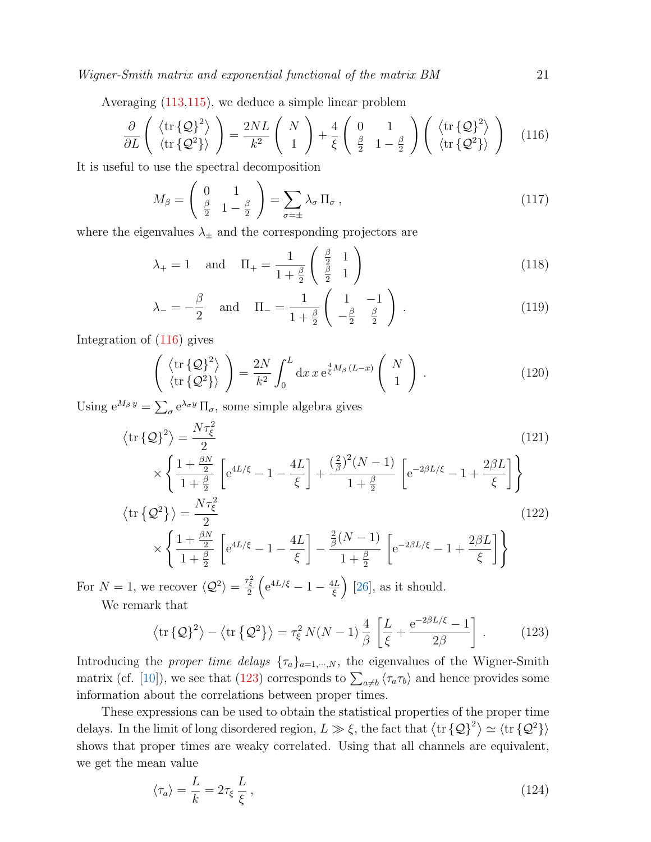Averaging [\(113](#page-19-2)[,115\)](#page-19-3), we deduce a simple linear problem

<span id="page-20-0"></span>
$$
\frac{\partial}{\partial L} \left( \begin{array}{c} \langle \text{tr} \{ \mathcal{Q} \}^2 \rangle \\ \langle \text{tr} \{ \mathcal{Q}^2 \} \rangle \end{array} \right) = \frac{2NL}{k^2} \left( \begin{array}{c} N \\ 1 \end{array} \right) + \frac{4}{\xi} \left( \begin{array}{cc} 0 & 1 \\ \frac{\beta}{2} & 1 - \frac{\beta}{2} \end{array} \right) \left( \begin{array}{c} \langle \text{tr} \{ \mathcal{Q} \}^2 \rangle \\ \langle \text{tr} \{ \mathcal{Q}^2 \} \rangle \end{array} \right) \tag{116}
$$

It is useful to use the spectral decomposition

$$
M_{\beta} = \begin{pmatrix} 0 & 1 \\ \frac{\beta}{2} & 1 - \frac{\beta}{2} \end{pmatrix} = \sum_{\sigma = \pm} \lambda_{\sigma} \Pi_{\sigma} , \qquad (117)
$$

where the eigenvalues  $\lambda_{\pm}$  and the corresponding projectors are

$$
\lambda_{+} = 1 \quad \text{and} \quad \Pi_{+} = \frac{1}{1 + \frac{\beta}{2}} \begin{pmatrix} \frac{\beta}{2} & 1\\ \frac{\beta}{2} & 1 \end{pmatrix} \tag{118}
$$

$$
\lambda_{-} = -\frac{\beta}{2} \quad \text{and} \quad \Pi_{-} = \frac{1}{1 + \frac{\beta}{2}} \begin{pmatrix} 1 & -1 \\ -\frac{\beta}{2} & \frac{\beta}{2} \end{pmatrix} . \tag{119}
$$

Integration of [\(116\)](#page-20-0) gives

$$
\begin{pmatrix} \langle \operatorname{tr} \{ \mathcal{Q} \}^2 \rangle \\ \langle \operatorname{tr} \{ \mathcal{Q}^2 \} \rangle \end{pmatrix} = \frac{2N}{k^2} \int_0^L dx \, x \, e^{\frac{4}{\xi} M_\beta (L-x)} \begin{pmatrix} N \\ 1 \end{pmatrix} . \tag{120}
$$

Using  $e^{M_\beta y} = \sum_\sigma e^{\lambda_\sigma y} \Pi_\sigma$ , some simple algebra gives

$$
\langle \operatorname{tr} \{ \mathcal{Q} \}^2 \rangle = \frac{N \tau_{\xi}^2}{2}
$$
\n
$$
\times \left\{ \frac{1 + \frac{\beta N}{2}}{1 + \frac{\beta}{2}} \left[ e^{4L/\xi} - 1 - \frac{4L}{\xi} \right] + \frac{(\frac{2}{\beta})^2 (N - 1)}{1 + \frac{\beta}{2}} \left[ e^{-2\beta L/\xi} - 1 + \frac{2\beta L}{\xi} \right] \right\}
$$
\n
$$
(121)
$$

$$
\langle \text{tr}\left\{\mathcal{Q}^2\right\}\rangle = \frac{N\tau_{\xi}^2}{2}
$$
\n
$$
\times \int \frac{1 + \frac{\beta N}{2}}{1 + \frac{\beta N}{2}} \left[ e^{4L/\xi} - 1 - \frac{4L}{2} \right] - \frac{\frac{2}{\beta}(N-1)}{\beta} \left[ e^{-2\beta L/\xi} - 1 + \frac{2\beta L}{2\beta} \right] \right)
$$
\n(122)

$$
\times \left\{ \frac{1+\frac{\beta N}{2}}{1+\frac{\beta}{2}} \left[ e^{4L/\xi} - 1 - \frac{4L}{\xi} \right] - \frac{\frac{\pi}{\beta}(N-1)}{1+\frac{\beta}{2}} \left[ e^{-2\beta L/\xi} - 1 + \frac{2\beta L}{\xi} \right] \right\}
$$

For  $N=1$ , we recover  $\langle \mathcal{Q}^2 \rangle = \frac{\tau_{\xi}^2}{2} \left( e^{4L/\xi} - 1 - \frac{4L}{\xi} \right)$  $\left(\frac{1}{\xi}\right)$  [\[26\]](#page-28-4), as it should. We remark that

<span id="page-20-1"></span>
$$
\left\langle \text{tr}\left\{Q\right\}^2 \right\rangle - \left\langle \text{tr}\left\{Q^2\right\} \right\rangle = \tau_\xi^2 N(N-1) \frac{4}{\beta} \left[ \frac{L}{\xi} + \frac{e^{-2\beta L/\xi} - 1}{2\beta} \right]. \tag{123}
$$

Introducing the proper time delays  $\{\tau_a\}_{a=1,\dots,N}$ , the eigenvalues of the Wigner-Smith matrix (cf. [\[10\]](#page-27-9)), we see that [\(123\)](#page-20-1) corresponds to  $\sum_{a\neq b} \langle \tau_a \tau_b \rangle$  and hence provides some information about the correlations between proper times.

These expressions can be used to obtain the statistical properties of the proper time delays. In the limit of long disordered region,  $L \gg \xi$ , the fact that  $\langle \text{tr} {\{\mathcal{Q}\}}^2 \rangle \simeq \langle \text{tr} {\{\mathcal{Q}^2\}} \rangle$ shows that proper times are weaky correlated. Using that all channels are equivalent, we get the mean value

$$
\langle \tau_a \rangle = \frac{L}{k} = 2\tau_\xi \frac{L}{\xi} \,,\tag{124}
$$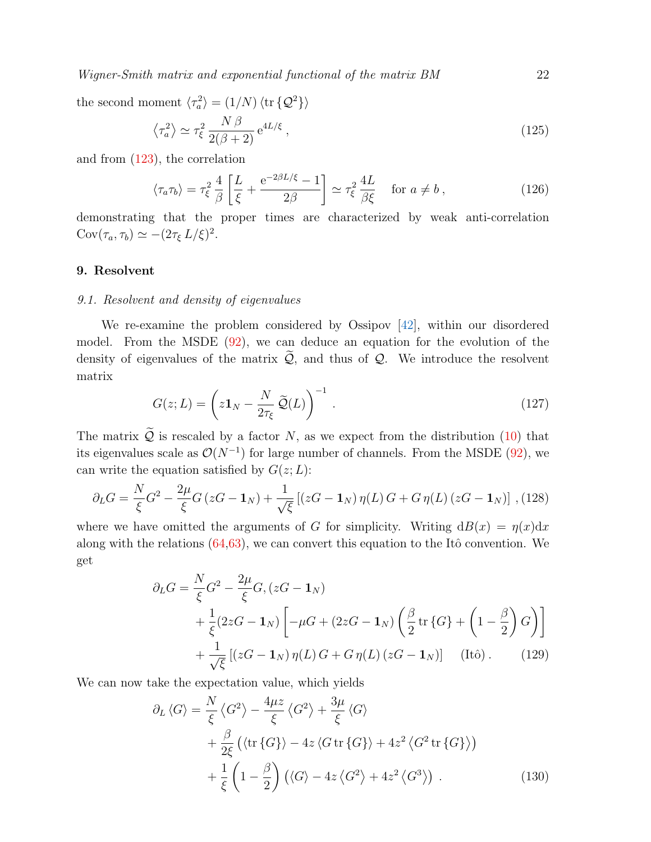the second moment  $\langle \tau_a^2 \rangle = (1/N) \langle \text{tr} \{ \mathcal{Q}^2 \} \rangle$ 

$$
\left\langle \tau_a^2 \right\rangle \simeq \tau_\xi^2 \frac{N \beta}{2(\beta + 2)} e^{4L/\xi},\tag{125}
$$

and from [\(123\)](#page-20-1), the correlation

$$
\langle \tau_a \tau_b \rangle = \tau_\xi^2 \frac{4}{\beta} \left[ \frac{L}{\xi} + \frac{e^{-2\beta L/\xi} - 1}{2\beta} \right] \simeq \tau_\xi^2 \frac{4L}{\beta \xi} \quad \text{for } a \neq b \,, \tag{126}
$$

demonstrating that the proper times are characterized by weak anti-correlation  $Cov(\tau_a, \tau_b) \simeq -(2\tau_{\xi} L/\xi)^2.$ 

# <span id="page-21-0"></span>9. Resolvent

### 9.1. Resolvent and density of eigenvalues

We re-examine the problem considered by Ossipov [\[42\]](#page-28-19), within our disordered model. From the MSDE [\(92\)](#page-16-3), we can deduce an equation for the evolution of the density of eigenvalues of the matrix  $\widetilde{Q}$ , and thus of  $Q$ . We introduce the resolvent matrix

$$
G(z;L) = \left(z\mathbf{1}_N - \frac{N}{2\tau_{\xi}}\widetilde{\mathcal{Q}}(L)\right)^{-1}.
$$
\n(127)

The matrix  $\widetilde{Q}$  is rescaled by a factor N, as we expect from the distribution [\(10\)](#page-3-2) that its eigenvalues scale as  $\mathcal{O}(N^{-1})$  for large number of channels. From the MSDE [\(92\)](#page-16-3), we can write the equation satisfied by  $G(z; L)$ :

$$
\partial_L G = \frac{N}{\xi} G^2 - \frac{2\mu}{\xi} G (zG - \mathbf{1}_N) + \frac{1}{\sqrt{\xi}} \left[ (zG - \mathbf{1}_N) \eta(L) G + G \eta(L) (zG - \mathbf{1}_N) \right],
$$
 (128)

where we have omitted the arguments of G for simplicity. Writing  $dB(x) = \eta(x)dx$ along with the relations  $(64,63)$  $(64,63)$ , we can convert this equation to the Itô convention. We get

$$
\partial_L G = \frac{N}{\xi} G^2 - \frac{2\mu}{\xi} G, (zG - \mathbf{1}_N)
$$
  
+  $\frac{1}{\xi} (2zG - \mathbf{1}_N) \left[ -\mu G + (2zG - \mathbf{1}_N) \left( \frac{\beta}{2} \text{tr} \{ G \} + \left( 1 - \frac{\beta}{2} \right) G \right) \right]$   
+  $\frac{1}{\sqrt{\xi}} [(zG - \mathbf{1}_N) \eta(L) G + G \eta(L) (zG - \mathbf{1}_N)]$  (Itô). (129)

We can now take the expectation value, which yields

$$
\partial_L \langle G \rangle = \frac{N}{\xi} \langle G^2 \rangle - \frac{4\mu z}{\xi} \langle G^2 \rangle + \frac{3\mu}{\xi} \langle G \rangle + \frac{\beta}{2\xi} \left( \langle \text{tr} \{ G \} \rangle - 4z \langle G \text{ tr} \{ G \} \rangle + 4z^2 \langle G^2 \text{ tr} \{ G \} \rangle \right) + \frac{1}{\xi} \left( 1 - \frac{\beta}{2} \right) \left( \langle G \rangle - 4z \langle G^2 \rangle + 4z^2 \langle G^3 \rangle \right) .
$$
 (130)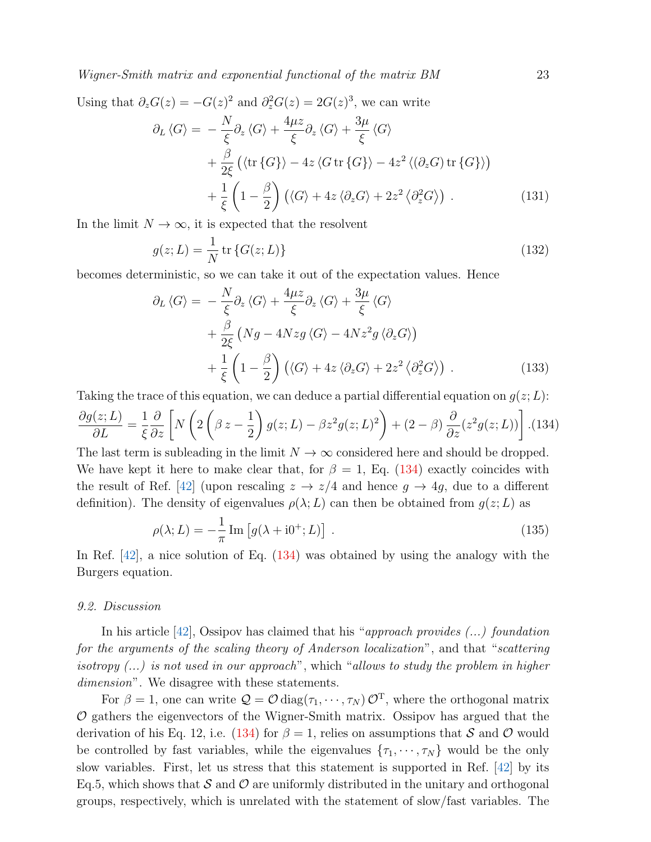Using that  $\partial_z G(z) = -G(z)^2$  and  $\partial_z^2 G(z) = 2G(z)^3$ , we can write

$$
\partial_L \langle G \rangle = -\frac{N}{\xi} \partial_z \langle G \rangle + \frac{4\mu z}{\xi} \partial_z \langle G \rangle + \frac{3\mu}{\xi} \langle G \rangle + \frac{\beta}{2\xi} \left( \langle \text{tr} \{ G \} \rangle - 4z \langle G \text{ tr} \{ G \} \rangle - 4z^2 \langle (\partial_z G) \text{ tr} \{ G \} \rangle \right) + \frac{1}{\xi} \left( 1 - \frac{\beta}{2} \right) \left( \langle G \rangle + 4z \langle \partial_z G \rangle + 2z^2 \langle \partial_z^2 G \rangle \right) .
$$
 (131)

In the limit  $N \to \infty$ , it is expected that the resolvent

$$
g(z;L) = \frac{1}{N} \operatorname{tr} \{ G(z;L) \}
$$
\n<sup>(132)</sup>

becomes deterministic, so we can take it out of the expectation values. Hence

$$
\partial_L \langle G \rangle = -\frac{N}{\xi} \partial_z \langle G \rangle + \frac{4\mu z}{\xi} \partial_z \langle G \rangle + \frac{3\mu}{\xi} \langle G \rangle + \frac{\beta}{2\xi} \left( Ng - 4Nz g \langle G \rangle - 4Nz^2 g \langle \partial_z G \rangle \right) + \frac{1}{\xi} \left( 1 - \frac{\beta}{2} \right) \left( \langle G \rangle + 4z \langle \partial_z G \rangle + 2z^2 \langle \partial_z^2 G \rangle \right) .
$$
(133)

<span id="page-22-0"></span>Taking the trace of this equation, we can deduce a partial differential equation on  $g(z; L)$ :  $\partial g(z;L)$  $rac{\Delta}{\partial L} =$ 1 ξ  $\frac{\partial}{\partial z}\bigg[$ N  $\sqrt{ }$ 2  $\sqrt{ }$  $\beta z - \frac{1}{2}$ 2  $\Big\} g(z;L) - \beta z^2 g(z;L)^2 \Big\}$  $+(2-\beta)\frac{\partial}{\partial}$  $\left[ \frac{\partial}{\partial z}(z^2g(z;L)) \right]$  .(134)

The last term is subleading in the limit  $N \to \infty$  considered here and should be dropped. We have kept it here to make clear that, for  $\beta = 1$ , Eq. [\(134\)](#page-22-0) exactly coincides with the result of Ref. [\[42\]](#page-28-19) (upon rescaling  $z \to z/4$  and hence  $g \to 4g$ , due to a different definition). The density of eigenvalues  $\rho(\lambda; L)$  can then be obtained from  $g(z; L)$  as

$$
\rho(\lambda; L) = -\frac{1}{\pi} \operatorname{Im} \left[ g(\lambda + i0^+; L) \right] \,. \tag{135}
$$

In Ref. [\[42\]](#page-28-19), a nice solution of Eq. [\(134\)](#page-22-0) was obtained by using the analogy with the Burgers equation.

#### 9.2. Discussion

In his article  $[42]$ , Ossipov has claimed that his "approach provides  $(\dots)$  foundation for the arguments of the scaling theory of Anderson localization", and that "scattering isotropy  $(...)$  is not used in our approach", which "allows to study the problem in higher dimension". We disagree with these statements.

For  $\beta = 1$ , one can write  $\mathcal{Q} = \mathcal{O} \text{diag}(\tau_1, \dots, \tau_N) \mathcal{O}^T$ , where the orthogonal matrix  $O$  gathers the eigenvectors of the Wigner-Smith matrix. Ossipov has argued that the derivation of his Eq. 12, i.e. [\(134\)](#page-22-0) for  $\beta = 1$ , relies on assumptions that S and O would be controlled by fast variables, while the eigenvalues  $\{\tau_1, \dots, \tau_N\}$  would be the only slow variables. First, let us stress that this statement is supported in Ref. [\[42\]](#page-28-19) by its Eq.5, which shows that  $\mathcal S$  and  $\mathcal O$  are uniformly distributed in the unitary and orthogonal groups, respectively, which is unrelated with the statement of slow/fast variables. The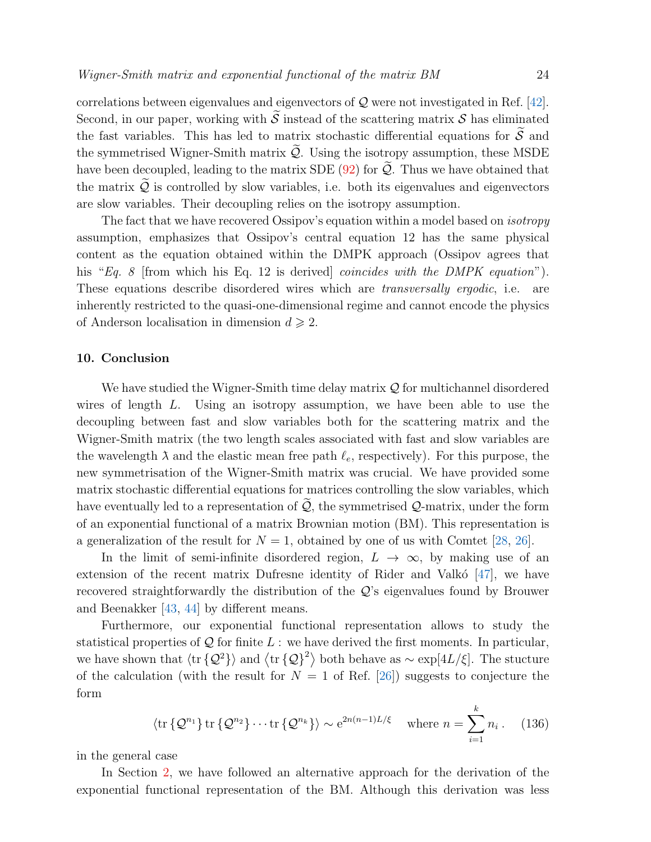correlations between eigenvalues and eigenvectors of  $\mathcal Q$  were not investigated in Ref. [\[42\]](#page-28-19). Second, in our paper, working with  $\widetilde{S}$  instead of the scattering matrix S has eliminated the fast variables. This has led to matrix stochastic differential equations for  $\widetilde{S}$  and the symmetrised Wigner-Smith matrix  $\widetilde{Q}$ . Using the isotropy assumption, these MSDE have been decoupled, leading to the matrix SDE  $(92)$  for  $\mathcal{Q}$ . Thus we have obtained that the matrix  $\widetilde{Q}$  is controlled by slow variables, i.e. both its eigenvalues and eigenvectors are slow variables. Their decoupling relies on the isotropy assumption.

The fact that we have recovered Ossipov's equation within a model based on isotropy assumption, emphasizes that Ossipov's central equation 12 has the same physical content as the equation obtained within the DMPK approach (Ossipov agrees that his "Eq. 8 [from which his Eq. 12 is derived] *coincides with the DMPK equation*"). These equations describe disordered wires which are *transversally ergodic*, i.e. are inherently restricted to the quasi-one-dimensional regime and cannot encode the physics of Anderson localisation in dimension  $d \geq 2$ .

## 10. Conclusion

We have studied the Wigner-Smith time delay matrix  $\mathcal Q$  for multichannel disordered wires of length L. Using an isotropy assumption, we have been able to use the decoupling between fast and slow variables both for the scattering matrix and the Wigner-Smith matrix (the two length scales associated with fast and slow variables are the wavelength  $\lambda$  and the elastic mean free path  $\ell_e$ , respectively). For this purpose, the new symmetrisation of the Wigner-Smith matrix was crucial. We have provided some matrix stochastic differential equations for matrices controlling the slow variables, which have eventually led to a representation of  $\widetilde{Q}$ , the symmetrised  $Q$ -matrix, under the form of an exponential functional of a matrix Brownian motion (BM). This representation is a generalization of the result for  $N = 1$ , obtained by one of us with Comtet [\[28,](#page-28-6) [26\]](#page-28-4).

In the limit of semi-infinite disordered region,  $L \rightarrow \infty$ , by making use of an extension of the recent matrix Dufresne identity of Rider and Valkó  $[47]$ , we have recovered straightforwardly the distribution of the Q's eigenvalues found by Brouwer and Beenakker [\[43,](#page-28-20) [44\]](#page-28-21) by different means.

Furthermore, our exponential functional representation allows to study the statistical properties of  $Q$  for finite  $L$ : we have derived the first moments. In particular, we have shown that  $\langle \text{tr} \{Q^2\} \rangle$  and  $\langle \text{tr} \{Q\} \rangle^2$  both behave as  $\sim \exp[4L/\xi]$ . The stucture of the calculation (with the result for  $N = 1$  of Ref. [\[26\]](#page-28-4)) suggests to conjecture the form

$$
\langle \text{tr}\left\{\mathcal{Q}^{n_1}\right\} \text{tr}\left\{\mathcal{Q}^{n_2}\right\} \cdots \text{tr}\left\{\mathcal{Q}^{n_k}\right\} \rangle \sim e^{2n(n-1)L/\xi} \quad \text{where } n = \sum_{i=1}^k n_i. \tag{136}
$$

in the general case

In Section [2,](#page-6-0) we have followed an alternative approach for the derivation of the exponential functional representation of the BM. Although this derivation was less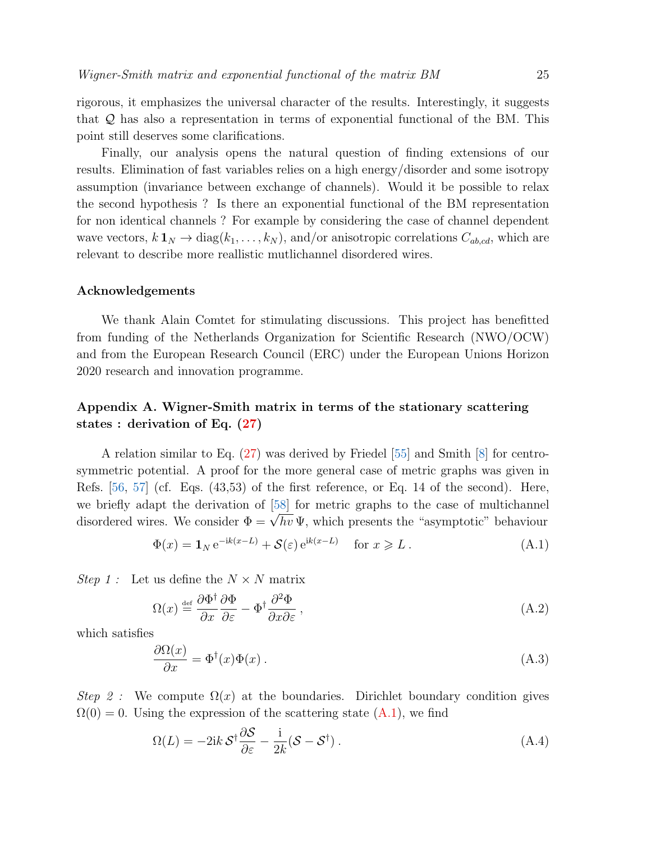rigorous, it emphasizes the universal character of the results. Interestingly, it suggests that Q has also a representation in terms of exponential functional of the BM. This point still deserves some clarifications.

Finally, our analysis opens the natural question of finding extensions of our results. Elimination of fast variables relies on a high energy/disorder and some isotropy assumption (invariance between exchange of channels). Would it be possible to relax the second hypothesis ? Is there an exponential functional of the BM representation for non identical channels ? For example by considering the case of channel dependent wave vectors,  $k \mathbf{1}_N \to \text{diag}(k_1, \ldots, k_N)$ , and/or anisotropic correlations  $C_{ab,cd}$ , which are relevant to describe more reallistic mutlichannel disordered wires.

# Acknowledgements

We thank Alain Comtet for stimulating discussions. This project has benefitted from funding of the Netherlands Organization for Scientific Research (NWO/OCW) and from the European Research Council (ERC) under the European Unions Horizon 2020 research and innovation programme.

# <span id="page-24-0"></span>Appendix A. Wigner-Smith matrix in terms of the stationary scattering states : derivation of Eq. [\(27\)](#page-7-0)

A relation similar to Eq. [\(27\)](#page-7-0) was derived by Friedel [\[55\]](#page-29-9) and Smith [\[8\]](#page-27-7) for centrosymmetric potential. A proof for the more general case of metric graphs was given in Refs. [\[56,](#page-29-10) [57\]](#page-29-11) (cf. Eqs. (43,53) of the first reference, or Eq. 14 of the second). Here, we briefly adapt the derivation of [\[58\]](#page-29-12) for metric graphs to the case of multichannel we brien adapt the derivation of  $\log$  for metric graphs to the case of multichannel<br>disordered wires. We consider  $\Phi = \sqrt{hv} \Psi$ , which presents the "asymptotic" behaviour

<span id="page-24-1"></span>
$$
\Phi(x) = \mathbf{1}_N e^{-ik(x-L)} + \mathcal{S}(\varepsilon) e^{ik(x-L)} \quad \text{for } x \ge L. \tag{A.1}
$$

*Step 1* : Let us define the  $N \times N$  matrix

$$
\Omega(x) \stackrel{\text{def}}{=} \frac{\partial \Phi^{\dagger}}{\partial x} \frac{\partial \Phi}{\partial \varepsilon} - \Phi^{\dagger} \frac{\partial^2 \Phi}{\partial x \partial \varepsilon},\tag{A.2}
$$

which satisfies

<span id="page-24-2"></span>
$$
\frac{\partial \Omega(x)}{\partial x} = \Phi^{\dagger}(x)\Phi(x) \,. \tag{A.3}
$$

Step 2: We compute  $\Omega(x)$  at the boundaries. Dirichlet boundary condition gives  $\Omega(0) = 0$ . Using the expression of the scattering state  $(A.1)$ , we find

<span id="page-24-3"></span>
$$
\Omega(L) = -2ik \mathcal{S}^{\dagger} \frac{\partial \mathcal{S}}{\partial \varepsilon} - \frac{i}{2k} (\mathcal{S} - \mathcal{S}^{\dagger}). \tag{A.4}
$$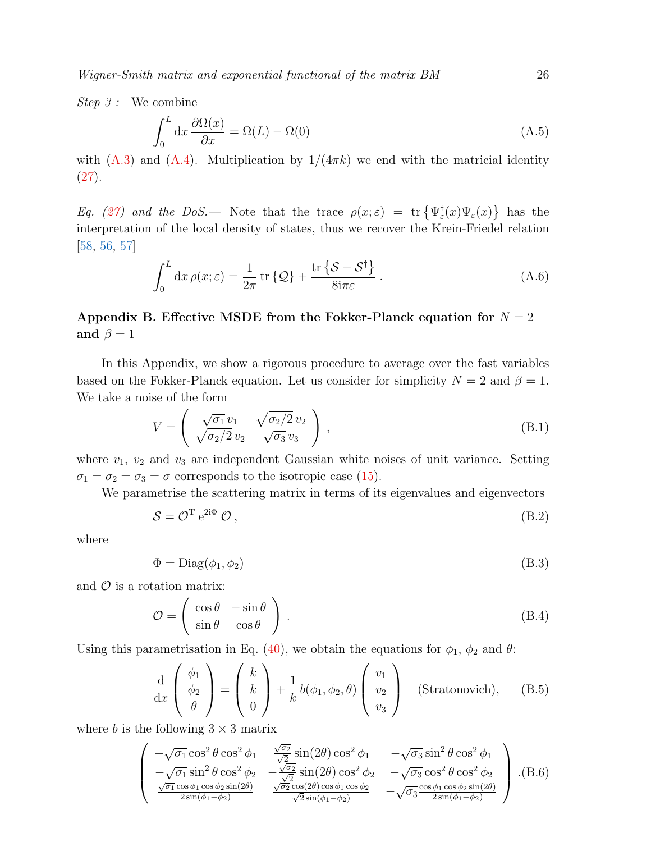Step 3 : We combine

$$
\int_0^L dx \frac{\partial \Omega(x)}{\partial x} = \Omega(L) - \Omega(0)
$$
\n(A.5)

with [\(A.3\)](#page-24-2) and [\(A.4\)](#page-24-3). Multiplication by  $1/(4\pi k)$  we end with the matricial identity  $(27).$  $(27).$ 

Eq. [\(27\)](#page-7-0) and the DoS. So Note that the trace  $\rho(x;\varepsilon) = \text{tr} \left\{ \Psi_{\varepsilon}^{\dagger}(x) \Psi_{\varepsilon}(x) \right\}$  has the interpretation of the local density of states, thus we recover the Krein-Friedel relation [\[58,](#page-29-12) [56,](#page-29-10) [57\]](#page-29-11)

$$
\int_0^L dx \,\rho(x;\varepsilon) = \frac{1}{2\pi} \operatorname{tr} \left\{ \mathcal{Q} \right\} + \frac{\operatorname{tr} \left\{ \mathcal{S} - \mathcal{S}^\dagger \right\}}{8 \mathrm{i} \pi \varepsilon} \,. \tag{A.6}
$$

# <span id="page-25-0"></span>Appendix B. Effective MSDE from the Fokker-Planck equation for  $N = 2$ and  $\beta = 1$

In this Appendix, we show a rigorous procedure to average over the fast variables based on the Fokker-Planck equation. Let us consider for simplicity  $N = 2$  and  $\beta = 1$ . We take a noise of the form

$$
V = \begin{pmatrix} \sqrt{\sigma_1} v_1 & \sqrt{\sigma_2/2} v_2 \\ \sqrt{\sigma_2/2} v_2 & \sqrt{\sigma_3} v_3 \end{pmatrix},
$$
\n(B.1)

where  $v_1$ ,  $v_2$  and  $v_3$  are independent Gaussian white noises of unit variance. Setting  $\sigma_1 = \sigma_2 = \sigma_3 = \sigma$  corresponds to the isotropic case [\(15\)](#page-4-2).

We parametrise the scattering matrix in terms of its eigenvalues and eigenvectors

$$
S = \mathcal{O}^{\mathrm{T}} e^{2i\Phi} \mathcal{O} \,, \tag{B.2}
$$

where

$$
\Phi = \text{Diag}(\phi_1, \phi_2) \tag{B.3}
$$

and  $\mathcal O$  is a rotation matrix:

$$
\mathcal{O} = \begin{pmatrix} \cos \theta & -\sin \theta \\ \sin \theta & \cos \theta \end{pmatrix} .
$$
 (B.4)

Using this parametrisation in Eq. [\(40\)](#page-9-3), we obtain the equations for  $\phi_1$ ,  $\phi_2$  and  $\theta$ :

$$
\frac{\mathrm{d}}{\mathrm{d}x} \begin{pmatrix} \phi_1 \\ \phi_2 \\ \theta \end{pmatrix} = \begin{pmatrix} k \\ k \\ 0 \end{pmatrix} + \frac{1}{k} b(\phi_1, \phi_2, \theta) \begin{pmatrix} v_1 \\ v_2 \\ v_3 \end{pmatrix} \quad \text{(Stratonovich)}, \quad \text{(B.5)}
$$

where b is the following  $3 \times 3$  matrix

$$
\begin{pmatrix}\n-\sqrt{\sigma_1}\cos^2\theta\cos^2\phi_1 & \frac{\sqrt{\sigma_2}}{\sqrt{2}}\sin(2\theta)\cos^2\phi_1 & -\sqrt{\sigma_3}\sin^2\theta\cos^2\phi_1\\
-\sqrt{\sigma_1}\sin^2\theta\cos^2\phi_2 & -\frac{\sqrt{\sigma_2}}{\sqrt{2}}\sin(2\theta)\cos^2\phi_2 & -\sqrt{\sigma_3}\cos^2\theta\cos^2\phi_2\\
\frac{\sqrt{\sigma_1}\cos\phi_1\cos\phi_2\sin(2\theta)}{2\sin(\phi_1-\phi_2)} & \frac{\sqrt{\sigma_2}\cos(2\theta)\cos\phi_1\cos\phi_2}{\sqrt{2}\sin(\phi_1-\phi_2)} & -\sqrt{\sigma_3}\frac{\cos\phi_1\cos\phi_2\sin(2\theta)}{2\sin(\phi_1-\phi_2)}\n\end{pmatrix} . (B.6)
$$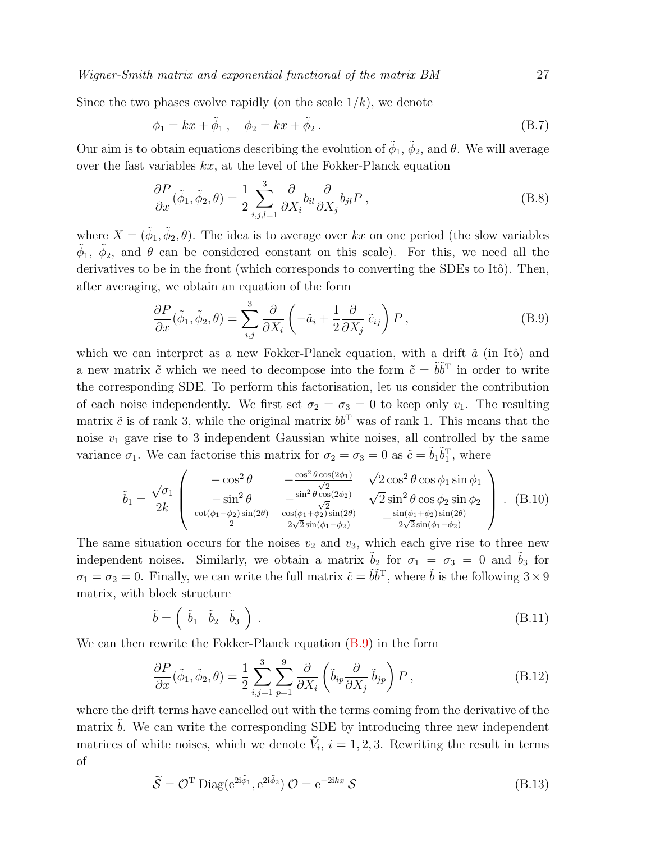Since the two phases evolve rapidly (on the scale  $1/k$ ), we denote

$$
\phi_1 = kx + \tilde{\phi}_1, \quad \phi_2 = kx + \tilde{\phi}_2. \tag{B.7}
$$

Our aim is to obtain equations describing the evolution of  $\tilde{\phi}_1$ ,  $\tilde{\phi}_2$ , and  $\theta$ . We will average over the fast variables  $kx$ , at the level of the Fokker-Planck equation

$$
\frac{\partial P}{\partial x}(\tilde{\phi}_1, \tilde{\phi}_2, \theta) = \frac{1}{2} \sum_{i,j,l=1}^3 \frac{\partial}{\partial X_i} b_{il} \frac{\partial}{\partial X_j} b_{jl} P , \qquad (B.8)
$$

where  $X = (\tilde{\phi}_1, \tilde{\phi}_2, \theta)$ . The idea is to average over kx on one period (the slow variables  $\tilde{\phi}_1$ ,  $\tilde{\phi}_2$ , and  $\theta$  can be considered constant on this scale). For this, we need all the derivatives to be in the front (which corresponds to converting the SDEs to Itô). Then, after averaging, we obtain an equation of the form

<span id="page-26-0"></span>
$$
\frac{\partial P}{\partial x}(\tilde{\phi}_1, \tilde{\phi}_2, \theta) = \sum_{i,j}^{3} \frac{\partial}{\partial X_i} \left( -\tilde{a}_i + \frac{1}{2} \frac{\partial}{\partial X_j} \tilde{c}_{ij} \right) P , \qquad (B.9)
$$

which we can interpret as a new Fokker-Planck equation, with a drift  $\tilde{a}$  (in Itô) and a new matrix  $\tilde{c}$  which we need to decompose into the form  $\tilde{c} = \tilde{b}\tilde{b}^{\mathrm{T}}$  in order to write the corresponding SDE. To perform this factorisation, let us consider the contribution of each noise independently. We first set  $\sigma_2 = \sigma_3 = 0$  to keep only  $v_1$ . The resulting matrix  $\tilde{c}$  is of rank 3, while the original matrix  $bb<sup>T</sup>$  was of rank 1. This means that the noise  $v_1$  gave rise to 3 independent Gaussian white noises, all controlled by the same variance  $\sigma_1$ . We can factorise this matrix for  $\sigma_2 = \sigma_3 = 0$  as  $\tilde{c} = \tilde{b}_1 \tilde{b}_1^T$ , where

$$
\tilde{b}_1 = \frac{\sqrt{\sigma_1}}{2k} \begin{pmatrix} -\cos^2 \theta & -\frac{\cos^2 \theta \cos(2\phi_1)}{\sqrt{2}} & \sqrt{2} \cos^2 \theta \cos \phi_1 \sin \phi_1 \\ -\sin^2 \theta & -\frac{\sin^2 \theta \cos(2\phi_2)}{\sqrt{2}} & \sqrt{2} \sin^2 \theta \cos \phi_2 \sin \phi_2 \\ \frac{\cot(\phi_1 - \phi_2) \sin(2\theta)}{2} & \frac{\cos(\phi_1 + \phi_2) \sin(2\theta)}{2\sqrt{2} \sin(\phi_1 - \phi_2)} & -\frac{\sin(\phi_1 + \phi_2) \sin(2\theta)}{2\sqrt{2} \sin(\phi_1 - \phi_2)} \end{pmatrix} .
$$
 (B.10)

The same situation occurs for the noises  $v_2$  and  $v_3$ , which each give rise to three new independent noises. Similarly, we obtain a matrix  $\tilde{b}_2$  for  $\sigma_1 = \sigma_3 = 0$  and  $\tilde{b}_3$  for  $\sigma_1 = \sigma_2 = 0$ . Finally, we can write the full matrix  $\tilde{c} = \tilde{b}\tilde{b}^T$ , where  $\tilde{b}$  is the following  $3 \times 9$ matrix, with block structure

$$
\tilde{b} = \left( \begin{array}{cc} \tilde{b}_1 & \tilde{b}_2 & \tilde{b}_3 \end{array} \right) \tag{B.11}
$$

We can then rewrite the Fokker-Planck equation  $(B.9)$  in the form

$$
\frac{\partial P}{\partial x}(\tilde{\phi}_1, \tilde{\phi}_2, \theta) = \frac{1}{2} \sum_{i,j=1}^3 \sum_{p=1}^9 \frac{\partial}{\partial X_i} \left( \tilde{b}_{ip} \frac{\partial}{\partial X_j} \tilde{b}_{jp} \right) P , \qquad (B.12)
$$

where the drift terms have cancelled out with the terms coming from the derivative of the matrix  $b$ . We can write the corresponding SDE by introducing three new independent matrices of white noises, which we denote  $\tilde{V}_i$ ,  $i = 1, 2, 3$ . Rewriting the result in terms of

$$
\widetilde{S} = \mathcal{O}^{\mathrm{T}} \operatorname{Diag}(e^{2i\widetilde{\phi}_1}, e^{2i\widetilde{\phi}_2}) \mathcal{O} = e^{-2ikx} \mathcal{S}
$$
\n(B.13)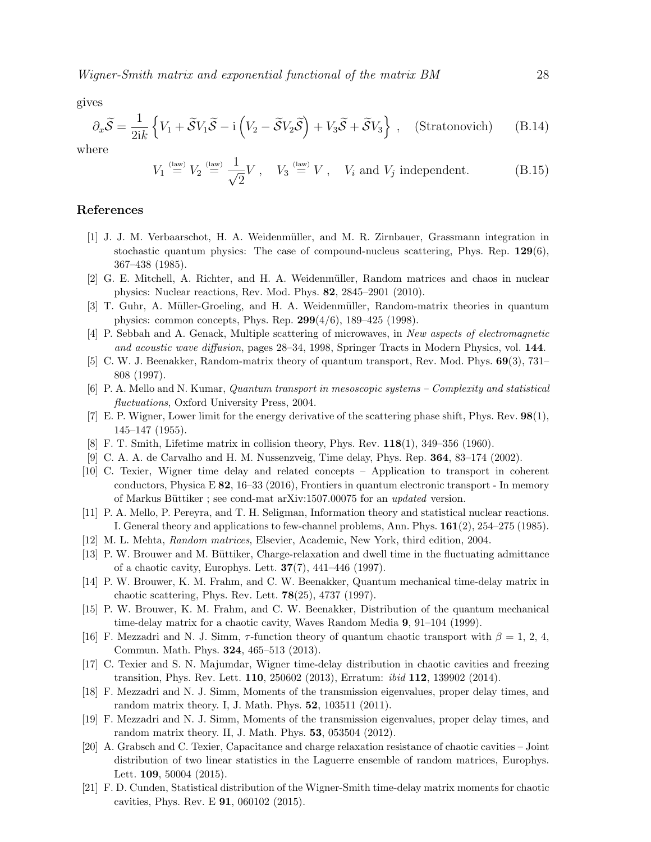gives

$$
\partial_x \widetilde{\mathcal{S}} = \frac{1}{2ik} \left\{ V_1 + \widetilde{\mathcal{S}} V_1 \widetilde{\mathcal{S}} - i \left( V_2 - \widetilde{\mathcal{S}} V_2 \widetilde{\mathcal{S}} \right) + V_3 \widetilde{\mathcal{S}} + \widetilde{\mathcal{S}} V_3 \right\} , \quad \text{(Stratonovich)} \tag{B.14}
$$

where

$$
V_1 \stackrel{\text{(law)}}{=} V_2 \stackrel{\text{(law)}}{=} \frac{1}{\sqrt{2}} V \,, \quad V_3 \stackrel{\text{(law)}}{=} V \,, \quad V_i \text{ and } V_j \text{ independent.} \tag{B.15}
$$

### References

- <span id="page-27-0"></span>[1] J. J. M. Verbaarschot, H. A. Weidenm¨uller, and M. R. Zirnbauer, Grassmann integration in stochastic quantum physics: The case of compound-nucleus scattering, Phys. Rep.  $129(6)$ , 367–438 (1985).
- <span id="page-27-1"></span>[2] G. E. Mitchell, A. Richter, and H. A. Weidenm¨uller, Random matrices and chaos in nuclear physics: Nuclear reactions, Rev. Mod. Phys. 82, 2845–2901 (2010).
- <span id="page-27-2"></span>[3] T. Guhr, A. Müller-Groeling, and H. A. Weidenmüller, Random-matrix theories in quantum physics: common concepts, Phys. Rep. 299(4/6), 189–425 (1998).
- <span id="page-27-3"></span>[4] P. Sebbah and A. Genack, Multiple scattering of microwaves, in New aspects of electromagnetic and acoustic wave diffusion, pages 28–34, 1998, Springer Tracts in Modern Physics, vol. 144.
- <span id="page-27-4"></span>[5] C. W. J. Beenakker, Random-matrix theory of quantum transport, Rev. Mod. Phys. 69(3), 731– 808 (1997).
- <span id="page-27-5"></span>[6] P. A. Mello and N. Kumar, Quantum transport in mesoscopic systems – Complexity and statistical fluctuations, Oxford University Press, 2004.
- <span id="page-27-6"></span>[7] E. P. Wigner, Lower limit for the energy derivative of the scattering phase shift, Phys. Rev. 98(1), 145–147 (1955).
- <span id="page-27-7"></span>[8] F. T. Smith, Lifetime matrix in collision theory, Phys. Rev. 118(1), 349–356 (1960).
- <span id="page-27-8"></span>[9] C. A. A. de Carvalho and H. M. Nussenzveig, Time delay, Phys. Rep. 364, 83–174 (2002).
- <span id="page-27-9"></span>[10] C. Texier, Wigner time delay and related concepts – Application to transport in coherent conductors, Physica E 82, 16–33 (2016), Frontiers in quantum electronic transport - In memory of Markus Büttiker; see cond-mat arXiv:1507.00075 for an updated version.
- <span id="page-27-10"></span>[11] P. A. Mello, P. Pereyra, and T. H. Seligman, Information theory and statistical nuclear reactions. I. General theory and applications to few-channel problems, Ann. Phys. 161(2), 254–275 (1985).
- <span id="page-27-11"></span>[12] M. L. Mehta, Random matrices, Elsevier, Academic, New York, third edition, 2004.
- <span id="page-27-12"></span>[13] P. W. Brouwer and M. Büttiker, Charge-relaxation and dwell time in the fluctuating admittance of a chaotic cavity, Europhys. Lett. 37(7), 441–446 (1997).
- <span id="page-27-13"></span>[14] P. W. Brouwer, K. M. Frahm, and C. W. Beenakker, Quantum mechanical time-delay matrix in chaotic scattering, Phys. Rev. Lett. 78(25), 4737 (1997).
- <span id="page-27-14"></span>[15] P. W. Brouwer, K. M. Frahm, and C. W. Beenakker, Distribution of the quantum mechanical time-delay matrix for a chaotic cavity, Waves Random Media 9, 91–104 (1999).
- <span id="page-27-15"></span>[16] F. Mezzadri and N. J. Simm,  $\tau$ -function theory of quantum chaotic transport with  $\beta = 1, 2, 4$ , Commun. Math. Phys. 324, 465–513 (2013).
- <span id="page-27-16"></span>[17] C. Texier and S. N. Majumdar, Wigner time-delay distribution in chaotic cavities and freezing transition, Phys. Rev. Lett. 110, 250602 (2013), Erratum: ibid 112, 139902 (2014).
- <span id="page-27-17"></span>[18] F. Mezzadri and N. J. Simm, Moments of the transmission eigenvalues, proper delay times, and random matrix theory. I, J. Math. Phys. 52, 103511 (2011).
- <span id="page-27-18"></span>[19] F. Mezzadri and N. J. Simm, Moments of the transmission eigenvalues, proper delay times, and random matrix theory. II, J. Math. Phys. 53, 053504 (2012).
- <span id="page-27-19"></span>[20] A. Grabsch and C. Texier, Capacitance and charge relaxation resistance of chaotic cavities – Joint distribution of two linear statistics in the Laguerre ensemble of random matrices, Europhys. Lett. **109**, 50004 (2015).
- <span id="page-27-20"></span>[21] F. D. Cunden, Statistical distribution of the Wigner-Smith time-delay matrix moments for chaotic cavities, Phys. Rev. E 91, 060102 (2015).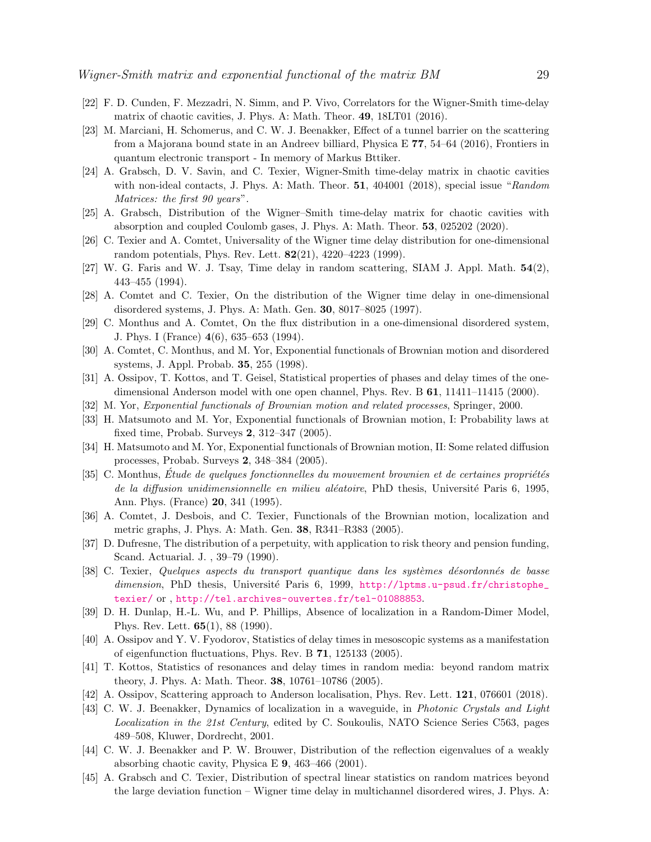- <span id="page-28-0"></span>[22] F. D. Cunden, F. Mezzadri, N. Simm, and P. Vivo, Correlators for the Wigner-Smith time-delay matrix of chaotic cavities, J. Phys. A: Math. Theor. 49, 18LT01 (2016).
- <span id="page-28-1"></span>[23] M. Marciani, H. Schomerus, and C. W. J. Beenakker, Effect of a tunnel barrier on the scattering from a Majorana bound state in an Andreev billiard, Physica E 77, 54–64 (2016), Frontiers in quantum electronic transport - In memory of Markus Bttiker.
- <span id="page-28-2"></span>[24] A. Grabsch, D. V. Savin, and C. Texier, Wigner-Smith time-delay matrix in chaotic cavities with non-ideal contacts, J. Phys. A: Math. Theor. 51, 404001 (2018), special issue "Random Matrices: the first 90 years".
- <span id="page-28-3"></span>[25] A. Grabsch, Distribution of the Wigner–Smith time-delay matrix for chaotic cavities with absorption and coupled Coulomb gases, J. Phys. A: Math. Theor. 53, 025202 (2020).
- <span id="page-28-4"></span>[26] C. Texier and A. Comtet, Universality of the Wigner time delay distribution for one-dimensional random potentials, Phys. Rev. Lett. 82(21), 4220–4223 (1999).
- <span id="page-28-5"></span>[27] W. G. Faris and W. J. Tsay, Time delay in random scattering, SIAM J. Appl. Math. 54(2), 443–455 (1994).
- <span id="page-28-6"></span>[28] A. Comtet and C. Texier, On the distribution of the Wigner time delay in one-dimensional disordered systems, J. Phys. A: Math. Gen. 30, 8017–8025 (1997).
- <span id="page-28-7"></span>[29] C. Monthus and A. Comtet, On the flux distribution in a one-dimensional disordered system, J. Phys. I (France) 4(6), 635–653 (1994).
- <span id="page-28-8"></span>[30] A. Comtet, C. Monthus, and M. Yor, Exponential functionals of Brownian motion and disordered systems, J. Appl. Probab. 35, 255 (1998).
- <span id="page-28-9"></span>[31] A. Ossipov, T. Kottos, and T. Geisel, Statistical properties of phases and delay times of the onedimensional Anderson model with one open channel, Phys. Rev. B 61, 11411–11415 (2000).
- <span id="page-28-10"></span>[32] M. Yor, Exponential functionals of Brownian motion and related processes, Springer, 2000.
- <span id="page-28-11"></span>[33] H. Matsumoto and M. Yor, Exponential functionals of Brownian motion, I: Probability laws at fixed time, Probab. Surveys 2, 312–347 (2005).
- <span id="page-28-12"></span>[34] H. Matsumoto and M. Yor, Exponential functionals of Brownian motion, II: Some related diffusion processes, Probab. Surveys 2, 348–384 (2005).
- <span id="page-28-13"></span> $[35]$  C. Monthus, Étude de quelques fonctionnelles du mouvement brownien et de certaines propriétés de la diffusion unidimensionnelle en milieu aléatoire, PhD thesis, Université Paris 6, 1995, Ann. Phys. (France) 20, 341 (1995).
- <span id="page-28-14"></span>[36] A. Comtet, J. Desbois, and C. Texier, Functionals of the Brownian motion, localization and metric graphs, J. Phys. A: Math. Gen. 38, R341–R383 (2005).
- <span id="page-28-15"></span>[37] D. Dufresne, The distribution of a perpetuity, with application to risk theory and pension funding, Scand. Actuarial. J. , 39–79 (1990).
- <span id="page-28-16"></span>[38] C. Texier, Quelques aspects du transport quantique dans les systèmes désordonnés de basse dimension, PhD thesis, Université Paris 6, 1999, [http://lptms.u-psud.fr/christophe\\_](http://lptms.u-psud.fr/christophe_texier/) [texier/](http://lptms.u-psud.fr/christophe_texier/) or , <http://tel.archives-ouvertes.fr/tel-01088853>.
- <span id="page-28-23"></span>[39] D. H. Dunlap, H.-L. Wu, and P. Phillips, Absence of localization in a Random-Dimer Model, Phys. Rev. Lett. 65(1), 88 (1990).
- <span id="page-28-17"></span>[40] A. Ossipov and Y. V. Fyodorov, Statistics of delay times in mesoscopic systems as a manifestation of eigenfunction fluctuations, Phys. Rev. B 71, 125133 (2005).
- <span id="page-28-18"></span>[41] T. Kottos, Statistics of resonances and delay times in random media: beyond random matrix theory, J. Phys. A: Math. Theor. 38, 10761–10786 (2005).
- <span id="page-28-19"></span>[42] A. Ossipov, Scattering approach to Anderson localisation, Phys. Rev. Lett. 121, 076601 (2018).
- <span id="page-28-20"></span>[43] C. W. J. Beenakker, Dynamics of localization in a waveguide, in Photonic Crystals and Light Localization in the 21st Century, edited by C. Soukoulis, NATO Science Series C563, pages 489–508, Kluwer, Dordrecht, 2001.
- <span id="page-28-21"></span>[44] C. W. J. Beenakker and P. W. Brouwer, Distribution of the reflection eigenvalues of a weakly absorbing chaotic cavity, Physica E 9, 463–466 (2001).
- <span id="page-28-22"></span>[45] A. Grabsch and C. Texier, Distribution of spectral linear statistics on random matrices beyond the large deviation function – Wigner time delay in multichannel disordered wires, J. Phys. A: